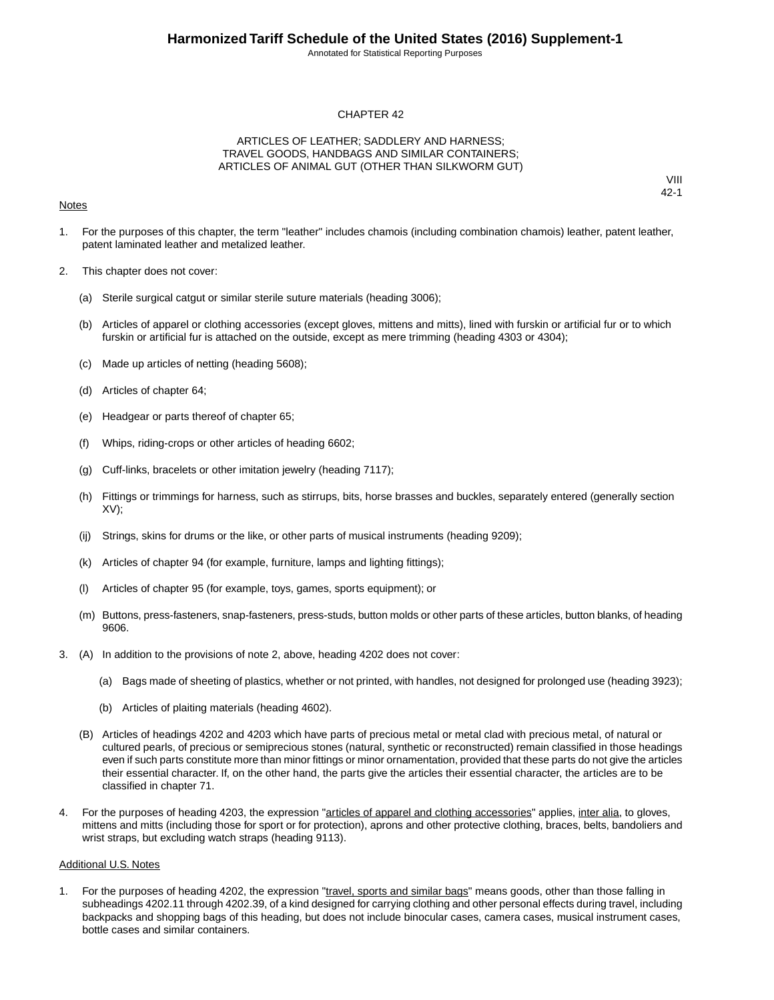Annotated for Statistical Reporting Purposes

#### CHAPTER 42

#### ARTICLES OF LEATHER; SADDLERY AND HARNESS; TRAVEL GOODS, HANDBAGS AND SIMILAR CONTAINERS; ARTICLES OF ANIMAL GUT (OTHER THAN SILKWORM GUT)

#### **Notes**

VIII 42-1

- 1. For the purposes of this chapter, the term "leather" includes chamois (including combination chamois) leather, patent leather, patent laminated leather and metalized leather.
- 2. This chapter does not cover:
	- (a) Sterile surgical catgut or similar sterile suture materials (heading 3006);
	- (b) Articles of apparel or clothing accessories (except gloves, mittens and mitts), lined with furskin or artificial fur or to which furskin or artificial fur is attached on the outside, except as mere trimming (heading 4303 or 4304);
	- (c) Made up articles of netting (heading 5608);
	- (d) Articles of chapter 64;
	- (e) Headgear or parts thereof of chapter 65;
	- (f) Whips, riding-crops or other articles of heading 6602;
	- (g) Cuff-links, bracelets or other imitation jewelry (heading 7117);
	- (h) Fittings or trimmings for harness, such as stirrups, bits, horse brasses and buckles, separately entered (generally section XV);
	- (ij) Strings, skins for drums or the like, or other parts of musical instruments (heading 9209);
	- (k) Articles of chapter 94 (for example, furniture, lamps and lighting fittings);
	- (l) Articles of chapter 95 (for example, toys, games, sports equipment); or
	- (m) Buttons, press-fasteners, snap-fasteners, press-studs, button molds or other parts of these articles, button blanks, of heading 9606.
- 3. (A) In addition to the provisions of note 2, above, heading 4202 does not cover:
	- (a) Bags made of sheeting of plastics, whether or not printed, with handles, not designed for prolonged use (heading 3923);
	- (b) Articles of plaiting materials (heading 4602).
	- (B) Articles of headings 4202 and 4203 which have parts of precious metal or metal clad with precious metal, of natural or cultured pearls, of precious or semiprecious stones (natural, synthetic or reconstructed) remain classified in those headings even if such parts constitute more than minor fittings or minor ornamentation, provided that these parts do not give the articles their essential character. If, on the other hand, the parts give the articles their essential character, the articles are to be classified in chapter 71.
- 4. For the purposes of heading 4203, the expression "articles of apparel and clothing accessories" applies, inter alia, to gloves, mittens and mitts (including those for sport or for protection), aprons and other protective clothing, braces, belts, bandoliers and wrist straps, but excluding watch straps (heading 9113).

#### Additional U.S. Notes

1. For the purposes of heading 4202, the expression "travel, sports and similar bags" means goods, other than those falling in subheadings 4202.11 through 4202.39, of a kind designed for carrying clothing and other personal effects during travel, including backpacks and shopping bags of this heading, but does not include binocular cases, camera cases, musical instrument cases, bottle cases and similar containers.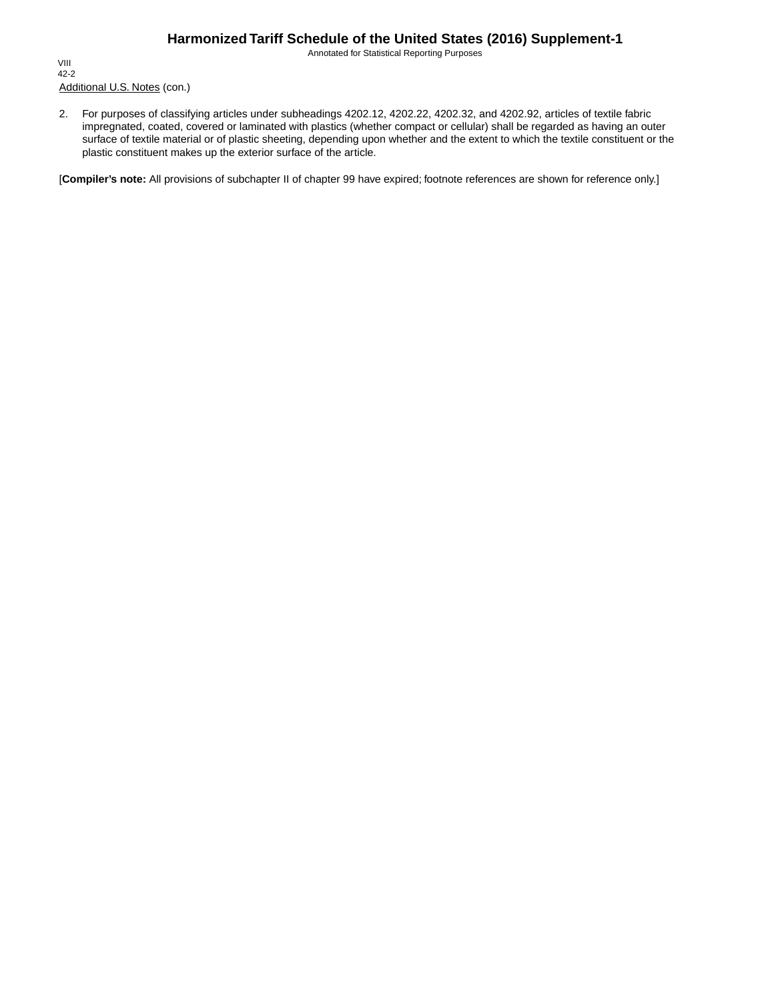Annotated for Statistical Reporting Purposes

Additional U.S. Notes (con.) VIII 42-2

2. For purposes of classifying articles under subheadings 4202.12, 4202.22, 4202.32, and 4202.92, articles of textile fabric impregnated, coated, covered or laminated with plastics (whether compact or cellular) shall be regarded as having an outer surface of textile material or of plastic sheeting, depending upon whether and the extent to which the textile constituent or the plastic constituent makes up the exterior surface of the article.

[**Compiler's note:** All provisions of subchapter II of chapter 99 have expired; footnote references are shown for reference only.]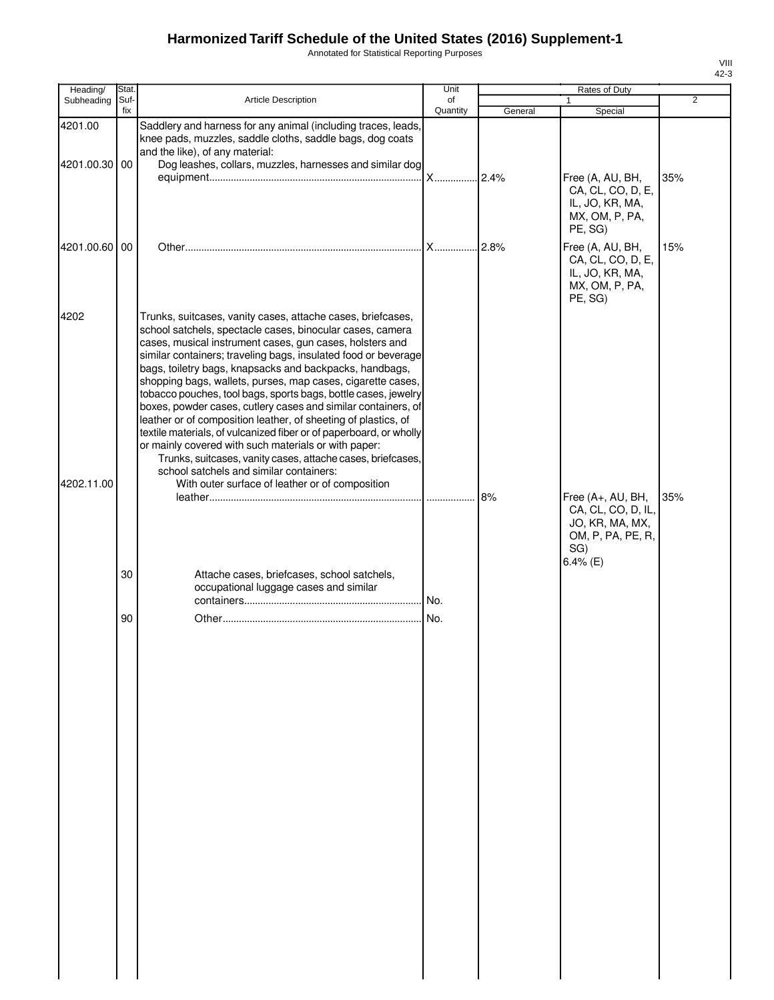Annotated for Statistical Reporting Purposes

| Heading/                 | Stat.       |                                                                                                                                                                                                                                                                                                                                                                                                                                                                                                                                                                                                                                                                                                                                                                                                                               | Unit           |         | Rates of Duty                                                                          |     |
|--------------------------|-------------|-------------------------------------------------------------------------------------------------------------------------------------------------------------------------------------------------------------------------------------------------------------------------------------------------------------------------------------------------------------------------------------------------------------------------------------------------------------------------------------------------------------------------------------------------------------------------------------------------------------------------------------------------------------------------------------------------------------------------------------------------------------------------------------------------------------------------------|----------------|---------|----------------------------------------------------------------------------------------|-----|
| Subheading               | Suf-<br>fix | <b>Article Description</b>                                                                                                                                                                                                                                                                                                                                                                                                                                                                                                                                                                                                                                                                                                                                                                                                    | of<br>Quantity | General | $\mathbf{1}$<br>Special                                                                | 2   |
| 4201.00<br>4201.00.30 00 |             | Saddlery and harness for any animal (including traces, leads,<br>knee pads, muzzles, saddle cloths, saddle bags, dog coats<br>and the like), of any material:<br>Dog leashes, collars, muzzles, harnesses and similar dog                                                                                                                                                                                                                                                                                                                                                                                                                                                                                                                                                                                                     |                |         | Free (A, AU, BH,                                                                       | 35% |
|                          |             |                                                                                                                                                                                                                                                                                                                                                                                                                                                                                                                                                                                                                                                                                                                                                                                                                               |                |         | CA, CL, CO, D, E,<br>IL, JO, KR, MA,<br>MX, OM, P, PA,<br>PE, SG)                      |     |
| 4201.00.60 00            |             |                                                                                                                                                                                                                                                                                                                                                                                                                                                                                                                                                                                                                                                                                                                                                                                                                               |                |         | Free (A, AU, BH,<br>CA, CL, CO, D, E,<br>IL, JO, KR, MA,<br>MX, OM, P, PA,<br>PE, SG)  | 15% |
| 4202                     |             | Trunks, suitcases, vanity cases, attache cases, briefcases,<br>school satchels, spectacle cases, binocular cases, camera<br>cases, musical instrument cases, gun cases, holsters and<br>similar containers; traveling bags, insulated food or beverage<br>bags, toiletry bags, knapsacks and backpacks, handbags,<br>shopping bags, wallets, purses, map cases, cigarette cases,<br>tobacco pouches, tool bags, sports bags, bottle cases, jewelry<br>boxes, powder cases, cutlery cases and similar containers, of<br>leather or of composition leather, of sheeting of plastics, of<br>textile materials, of vulcanized fiber or of paperboard, or wholly<br>or mainly covered with such materials or with paper:<br>Trunks, suitcases, vanity cases, attache cases, briefcases,<br>school satchels and similar containers: |                |         |                                                                                        |     |
| 4202.11.00               |             | With outer surface of leather or of composition                                                                                                                                                                                                                                                                                                                                                                                                                                                                                                                                                                                                                                                                                                                                                                               |                | 8%      | Free (A+, AU, BH,<br>CA, CL, CO, D, IL,<br>JO, KR, MA, MX,<br>OM, P, PA, PE, R,<br>SG) | 35% |
|                          | 30          | Attache cases, briefcases, school satchels,<br>occupational luggage cases and similar                                                                                                                                                                                                                                                                                                                                                                                                                                                                                                                                                                                                                                                                                                                                         |                |         | $6.4\%$ (E)                                                                            |     |
|                          | 90          |                                                                                                                                                                                                                                                                                                                                                                                                                                                                                                                                                                                                                                                                                                                                                                                                                               |                |         |                                                                                        |     |
|                          |             |                                                                                                                                                                                                                                                                                                                                                                                                                                                                                                                                                                                                                                                                                                                                                                                                                               |                |         |                                                                                        |     |
|                          |             |                                                                                                                                                                                                                                                                                                                                                                                                                                                                                                                                                                                                                                                                                                                                                                                                                               |                |         |                                                                                        |     |
|                          |             |                                                                                                                                                                                                                                                                                                                                                                                                                                                                                                                                                                                                                                                                                                                                                                                                                               |                |         |                                                                                        |     |
|                          |             |                                                                                                                                                                                                                                                                                                                                                                                                                                                                                                                                                                                                                                                                                                                                                                                                                               |                |         |                                                                                        |     |
|                          |             |                                                                                                                                                                                                                                                                                                                                                                                                                                                                                                                                                                                                                                                                                                                                                                                                                               |                |         |                                                                                        |     |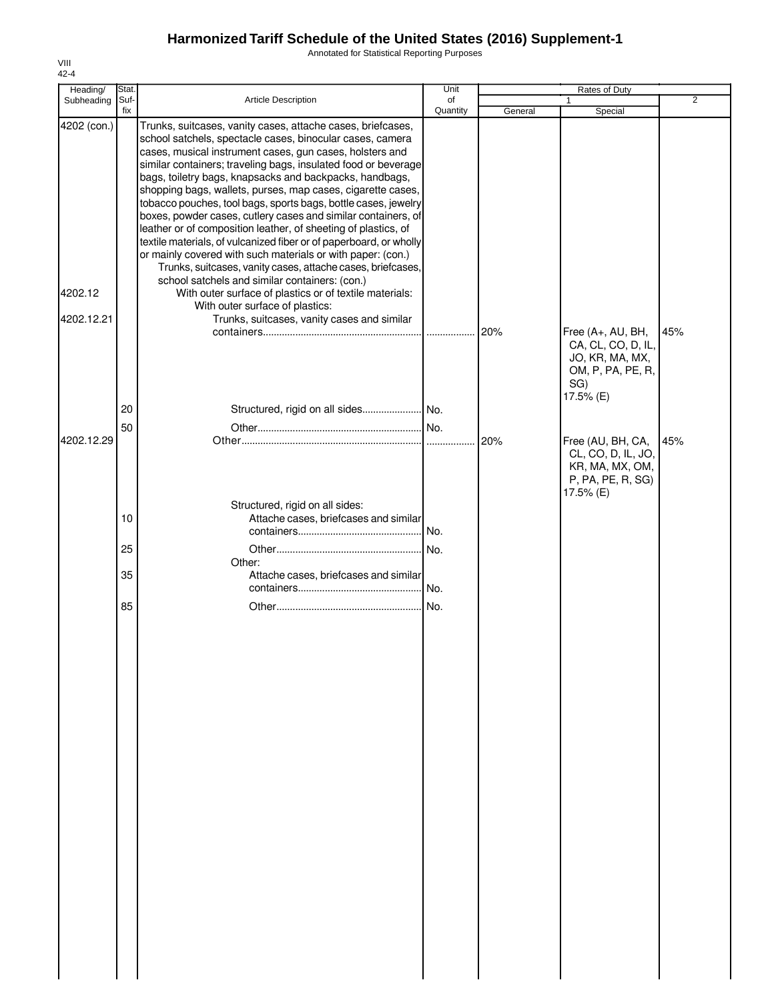Annotated for Statistical Reporting Purposes

| Heading/                             | Stat.                |                                                                                                                                                                                                                                                                                                                                                                                                                                                                                                                                                                                                                                                                                                                                                                                                                                                                                                                                                                                          | Unit           |         | Rates of Duty                                                                                                                                                     |                |
|--------------------------------------|----------------------|------------------------------------------------------------------------------------------------------------------------------------------------------------------------------------------------------------------------------------------------------------------------------------------------------------------------------------------------------------------------------------------------------------------------------------------------------------------------------------------------------------------------------------------------------------------------------------------------------------------------------------------------------------------------------------------------------------------------------------------------------------------------------------------------------------------------------------------------------------------------------------------------------------------------------------------------------------------------------------------|----------------|---------|-------------------------------------------------------------------------------------------------------------------------------------------------------------------|----------------|
| Subheading Suf-                      | fix                  | Article Description                                                                                                                                                                                                                                                                                                                                                                                                                                                                                                                                                                                                                                                                                                                                                                                                                                                                                                                                                                      | of<br>Quantity | General | 1<br>Special                                                                                                                                                      | $\overline{2}$ |
| 4202 (con.)<br>4202.12<br>4202.12.21 |                      | Trunks, suitcases, vanity cases, attache cases, briefcases,<br>school satchels, spectacle cases, binocular cases, camera<br>cases, musical instrument cases, gun cases, holsters and<br>similar containers; traveling bags, insulated food or beverage<br>bags, toiletry bags, knapsacks and backpacks, handbags,<br>shopping bags, wallets, purses, map cases, cigarette cases,<br>tobacco pouches, tool bags, sports bags, bottle cases, jewelry<br>boxes, powder cases, cutlery cases and similar containers, of<br>leather or of composition leather, of sheeting of plastics, of<br>textile materials, of vulcanized fiber or of paperboard, or wholly<br>or mainly covered with such materials or with paper: (con.)<br>Trunks, suitcases, vanity cases, attache cases, briefcases,<br>school satchels and similar containers: (con.)<br>With outer surface of plastics or of textile materials:<br>With outer surface of plastics:<br>Trunks, suitcases, vanity cases and similar |                | 20%     |                                                                                                                                                                   | 45%            |
| 4202.12.29                           | 20<br>50             |                                                                                                                                                                                                                                                                                                                                                                                                                                                                                                                                                                                                                                                                                                                                                                                                                                                                                                                                                                                          |                | 20%     | Free (A+, AU, BH,<br>CA, CL, CO, D, IL,<br>JO, KR, MA, MX,<br>OM, P, PA, PE, R,<br>SG)<br>17.5% (E)<br>Free (AU, BH, CA,<br>CL, CO, D, IL, JO,<br>KR, MA, MX, OM, | 45%            |
|                                      | 10<br>25<br>35<br>85 | Structured, rigid on all sides:<br>Attache cases, briefcases and similar<br>Other:<br>Attache cases, briefcases and similar                                                                                                                                                                                                                                                                                                                                                                                                                                                                                                                                                                                                                                                                                                                                                                                                                                                              |                |         | P, PA, PE, R, SG)<br>17.5% (E)                                                                                                                                    |                |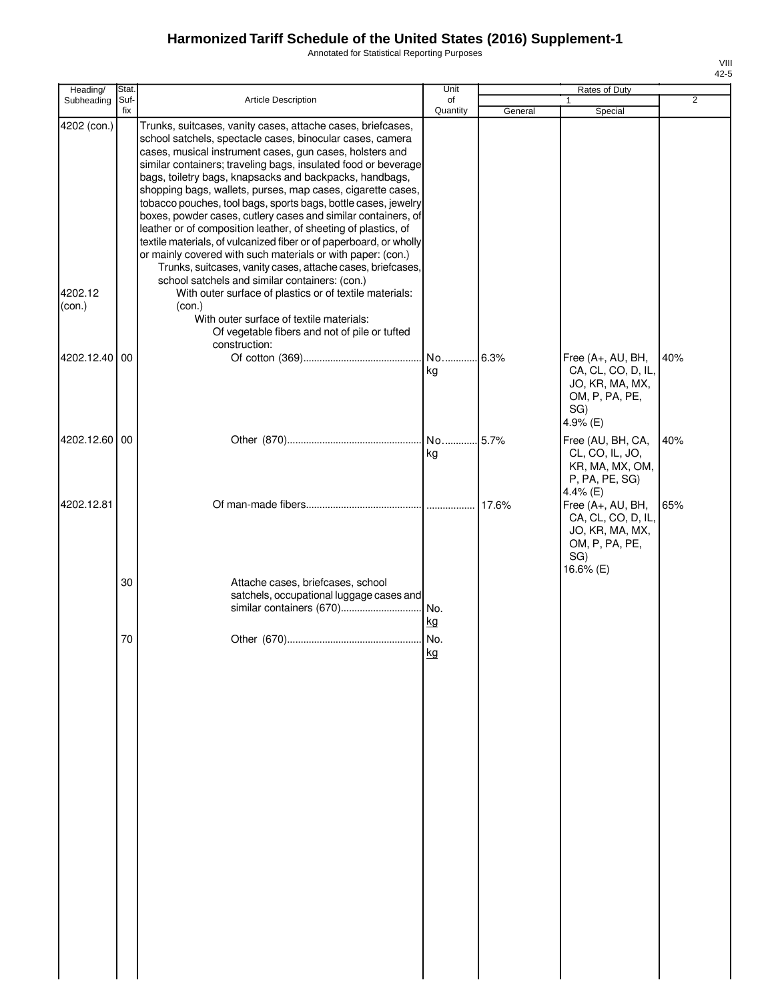Annotated for Statistical Reporting Purposes

| Heading/                         | Stat.       |                                                                                                                                                                                                                                                                                                                                                                                                                                                                                                                                                                                                                                                                                                                                                                                                                                                                                                                                                                                                               | Unit           |         | Rates of Duty                                                                                    |                |
|----------------------------------|-------------|---------------------------------------------------------------------------------------------------------------------------------------------------------------------------------------------------------------------------------------------------------------------------------------------------------------------------------------------------------------------------------------------------------------------------------------------------------------------------------------------------------------------------------------------------------------------------------------------------------------------------------------------------------------------------------------------------------------------------------------------------------------------------------------------------------------------------------------------------------------------------------------------------------------------------------------------------------------------------------------------------------------|----------------|---------|--------------------------------------------------------------------------------------------------|----------------|
| Subheading                       | Suf-<br>fix | <b>Article Description</b>                                                                                                                                                                                                                                                                                                                                                                                                                                                                                                                                                                                                                                                                                                                                                                                                                                                                                                                                                                                    | of<br>Quantity | General | Special                                                                                          | $\overline{2}$ |
| 4202 (con.)<br>4202.12<br>(con.) |             | Trunks, suitcases, vanity cases, attache cases, briefcases,<br>school satchels, spectacle cases, binocular cases, camera<br>cases, musical instrument cases, gun cases, holsters and<br>similar containers; traveling bags, insulated food or beverage<br>bags, toiletry bags, knapsacks and backpacks, handbags,<br>shopping bags, wallets, purses, map cases, cigarette cases,<br>tobacco pouches, tool bags, sports bags, bottle cases, jewelry<br>boxes, powder cases, cutlery cases and similar containers, of<br>leather or of composition leather, of sheeting of plastics, of<br>textile materials, of vulcanized fiber or of paperboard, or wholly<br>or mainly covered with such materials or with paper: (con.)<br>Trunks, suitcases, vanity cases, attache cases, briefcases,<br>school satchels and similar containers: (con.)<br>With outer surface of plastics or of textile materials:<br>(con.)<br>With outer surface of textile materials:<br>Of vegetable fibers and not of pile or tufted |                |         |                                                                                                  |                |
| 4202.12.40 00                    |             | construction:                                                                                                                                                                                                                                                                                                                                                                                                                                                                                                                                                                                                                                                                                                                                                                                                                                                                                                                                                                                                 | No<br>kg       | .6.3%   | Free (A+, AU, BH,<br>CA, CL, CO, D, IL,<br>JO, KR, MA, MX,<br>OM, P, PA, PE,<br>SG)<br>4.9% (E)  | 40%            |
| 4202.12.60 00                    |             |                                                                                                                                                                                                                                                                                                                                                                                                                                                                                                                                                                                                                                                                                                                                                                                                                                                                                                                                                                                                               | No<br>kg       | 5.7%    | Free (AU, BH, CA,<br>CL, CO, IL, JO,<br>KR, MA, MX, OM,<br>P, PA, PE, SG)<br>4.4% (E)            | 40%            |
| 4202.12.81                       |             |                                                                                                                                                                                                                                                                                                                                                                                                                                                                                                                                                                                                                                                                                                                                                                                                                                                                                                                                                                                                               |                | 17.6%   | Free (A+, AU, BH,<br>CA, CL, CO, D, IL,<br>JO, KR, MA, MX,<br>OM, P, PA, PE,<br>SG)<br>16.6% (E) | 65%            |
|                                  | 30          | Attache cases, briefcases, school<br>satchels, occupational luggage cases and                                                                                                                                                                                                                                                                                                                                                                                                                                                                                                                                                                                                                                                                                                                                                                                                                                                                                                                                 | I No.<br>kg    |         |                                                                                                  |                |
|                                  | 70          |                                                                                                                                                                                                                                                                                                                                                                                                                                                                                                                                                                                                                                                                                                                                                                                                                                                                                                                                                                                                               | kg             |         |                                                                                                  |                |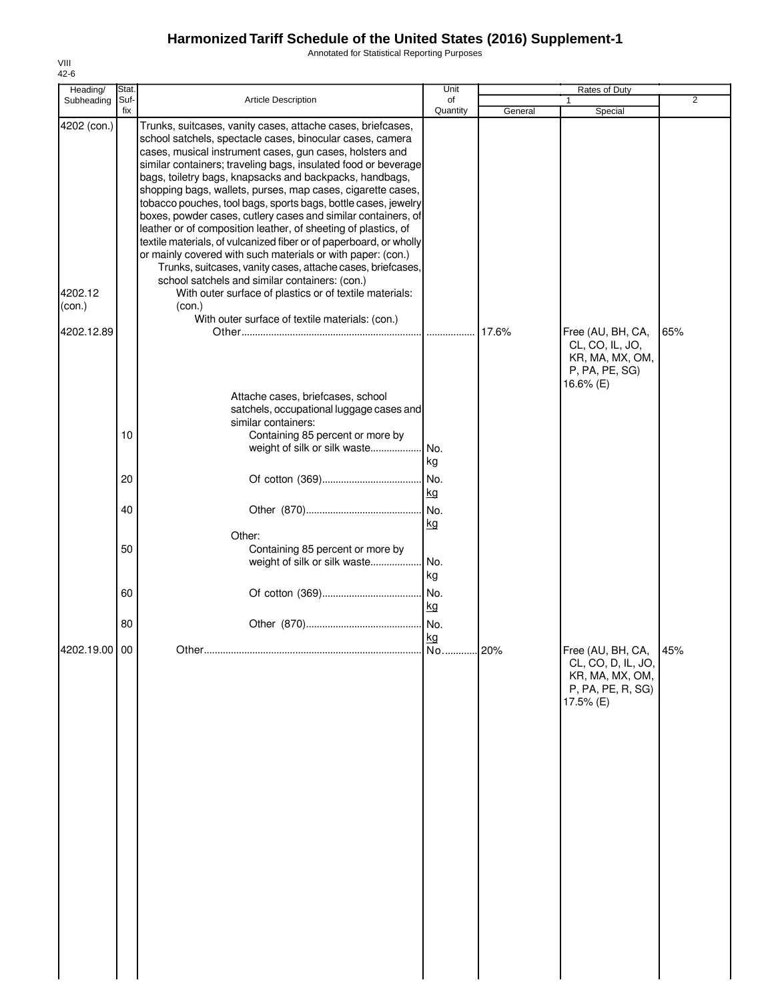Annotated for Statistical Reporting Purposes

| Heading/                         | Stat.       |                                                                                                                                                                                                                                                                                                                                                                                                                                                                                                                                                                                                                                                                                                                                                                                                                                                                                                                                                                     | Unit            |         | Rates of Duty                                                                                |                |
|----------------------------------|-------------|---------------------------------------------------------------------------------------------------------------------------------------------------------------------------------------------------------------------------------------------------------------------------------------------------------------------------------------------------------------------------------------------------------------------------------------------------------------------------------------------------------------------------------------------------------------------------------------------------------------------------------------------------------------------------------------------------------------------------------------------------------------------------------------------------------------------------------------------------------------------------------------------------------------------------------------------------------------------|-----------------|---------|----------------------------------------------------------------------------------------------|----------------|
| Subheading                       | Suf-<br>fix | Article Description                                                                                                                                                                                                                                                                                                                                                                                                                                                                                                                                                                                                                                                                                                                                                                                                                                                                                                                                                 | of<br>Quantity  | General | Special                                                                                      | $\overline{2}$ |
| 4202 (con.)<br>4202.12<br>(con.) |             | Trunks, suitcases, vanity cases, attache cases, briefcases,<br>school satchels, spectacle cases, binocular cases, camera<br>cases, musical instrument cases, gun cases, holsters and<br>similar containers; traveling bags, insulated food or beverage<br>bags, toiletry bags, knapsacks and backpacks, handbags,<br>shopping bags, wallets, purses, map cases, cigarette cases,<br>tobacco pouches, tool bags, sports bags, bottle cases, jewelry<br>boxes, powder cases, cutlery cases and similar containers, of<br>leather or of composition leather, of sheeting of plastics, of<br>textile materials, of vulcanized fiber or of paperboard, or wholly<br>or mainly covered with such materials or with paper: (con.)<br>Trunks, suitcases, vanity cases, attache cases, briefcases,<br>school satchels and similar containers: (con.)<br>With outer surface of plastics or of textile materials:<br>(con.)<br>With outer surface of textile materials: (con.) |                 |         |                                                                                              |                |
| 4202.12.89                       | 10          | Attache cases, briefcases, school<br>satchels, occupational luggage cases and<br>similar containers:<br>Containing 85 percent or more by<br>weight of silk or silk waste                                                                                                                                                                                                                                                                                                                                                                                                                                                                                                                                                                                                                                                                                                                                                                                            | No.<br>kg       | 17.6%   | Free (AU, BH, CA,<br>CL, CO, IL, JO,<br>KR, MA, MX, OM,<br>P, PA, PE, SG)<br>16.6% (E)       | 65%            |
|                                  | 20          |                                                                                                                                                                                                                                                                                                                                                                                                                                                                                                                                                                                                                                                                                                                                                                                                                                                                                                                                                                     | No.             |         |                                                                                              |                |
|                                  | 40          |                                                                                                                                                                                                                                                                                                                                                                                                                                                                                                                                                                                                                                                                                                                                                                                                                                                                                                                                                                     | kg<br>No.       |         |                                                                                              |                |
|                                  | 50          | Other:<br>Containing 85 percent or more by<br>weight of silk or silk waste                                                                                                                                                                                                                                                                                                                                                                                                                                                                                                                                                                                                                                                                                                                                                                                                                                                                                          | kg<br>No.<br>kg |         |                                                                                              |                |
|                                  | 60          |                                                                                                                                                                                                                                                                                                                                                                                                                                                                                                                                                                                                                                                                                                                                                                                                                                                                                                                                                                     | No.<br>kg       |         |                                                                                              |                |
|                                  | 80          |                                                                                                                                                                                                                                                                                                                                                                                                                                                                                                                                                                                                                                                                                                                                                                                                                                                                                                                                                                     | No.             |         |                                                                                              |                |
| 4202.19.00 00                    |             |                                                                                                                                                                                                                                                                                                                                                                                                                                                                                                                                                                                                                                                                                                                                                                                                                                                                                                                                                                     | kg              |         | Free (AU, BH, CA,<br>CL, CO, D, IL, JO,<br>KR, MA, MX, OM,<br>P, PA, PE, R, SG)<br>17.5% (E) | 45%            |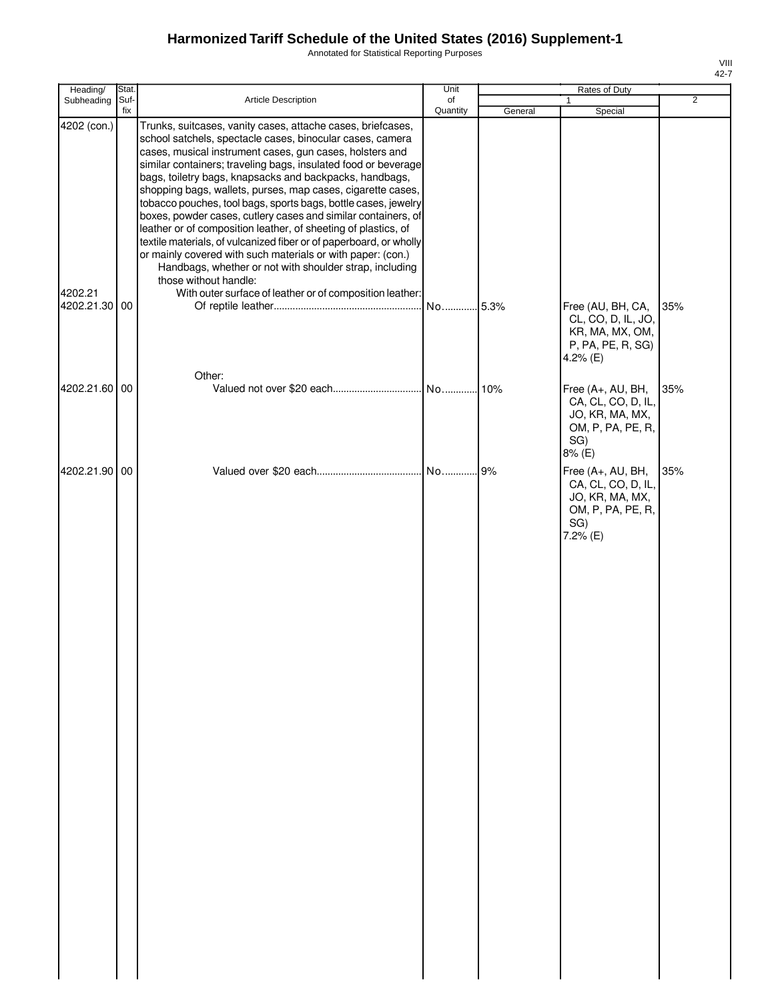Annotated for Statistical Reporting Purposes

| Heading/                             | Stat.     |                                                                                                                                                                                                                                                                                                                                                                                                                                                                                                                                                                                                                                                                                                                                                                                                                                                                            | Unit     |         | Rates of Duty                                                                                      |                |
|--------------------------------------|-----------|----------------------------------------------------------------------------------------------------------------------------------------------------------------------------------------------------------------------------------------------------------------------------------------------------------------------------------------------------------------------------------------------------------------------------------------------------------------------------------------------------------------------------------------------------------------------------------------------------------------------------------------------------------------------------------------------------------------------------------------------------------------------------------------------------------------------------------------------------------------------------|----------|---------|----------------------------------------------------------------------------------------------------|----------------|
| Subheading                           | Suf-      | Article Description                                                                                                                                                                                                                                                                                                                                                                                                                                                                                                                                                                                                                                                                                                                                                                                                                                                        | of       |         | 1                                                                                                  | $\overline{2}$ |
| 4202 (con.)<br>4202.21<br>4202.21.30 | fix<br>00 | Trunks, suitcases, vanity cases, attache cases, briefcases,<br>school satchels, spectacle cases, binocular cases, camera<br>cases, musical instrument cases, gun cases, holsters and<br>similar containers; traveling bags, insulated food or beverage<br>bags, toiletry bags, knapsacks and backpacks, handbags,<br>shopping bags, wallets, purses, map cases, cigarette cases,<br>tobacco pouches, tool bags, sports bags, bottle cases, jewelry<br>boxes, powder cases, cutlery cases and similar containers, of<br>leather or of composition leather, of sheeting of plastics, of<br>textile materials, of vulcanized fiber or of paperboard, or wholly<br>or mainly covered with such materials or with paper: (con.)<br>Handbags, whether or not with shoulder strap, including<br>those without handle:<br>With outer surface of leather or of composition leather: | Quantity | General | Special<br>Free (AU, BH, CA,                                                                       | 35%            |
|                                      |           | Other:                                                                                                                                                                                                                                                                                                                                                                                                                                                                                                                                                                                                                                                                                                                                                                                                                                                                     |          |         | CL, CO, D, IL, JO,<br>KR, MA, MX, OM,<br>P, PA, PE, R, SG)<br>4.2% $(E)$                           |                |
| 4202.21.60 00                        |           |                                                                                                                                                                                                                                                                                                                                                                                                                                                                                                                                                                                                                                                                                                                                                                                                                                                                            |          |         | Free (A+, AU, BH,<br>CA, CL, CO, D, IL,<br>JO, KR, MA, MX,<br>OM, P, PA, PE, R,<br>SG)<br>8% (E)   | 35%            |
| 4202.21.90 00                        |           |                                                                                                                                                                                                                                                                                                                                                                                                                                                                                                                                                                                                                                                                                                                                                                                                                                                                            |          |         | Free (A+, AU, BH,<br>CA, CL, CO, D, IL,<br>JO, KR, MA, MX,<br>OM, P, PA, PE, R,<br>SG)<br>7.2% (E) | 35%            |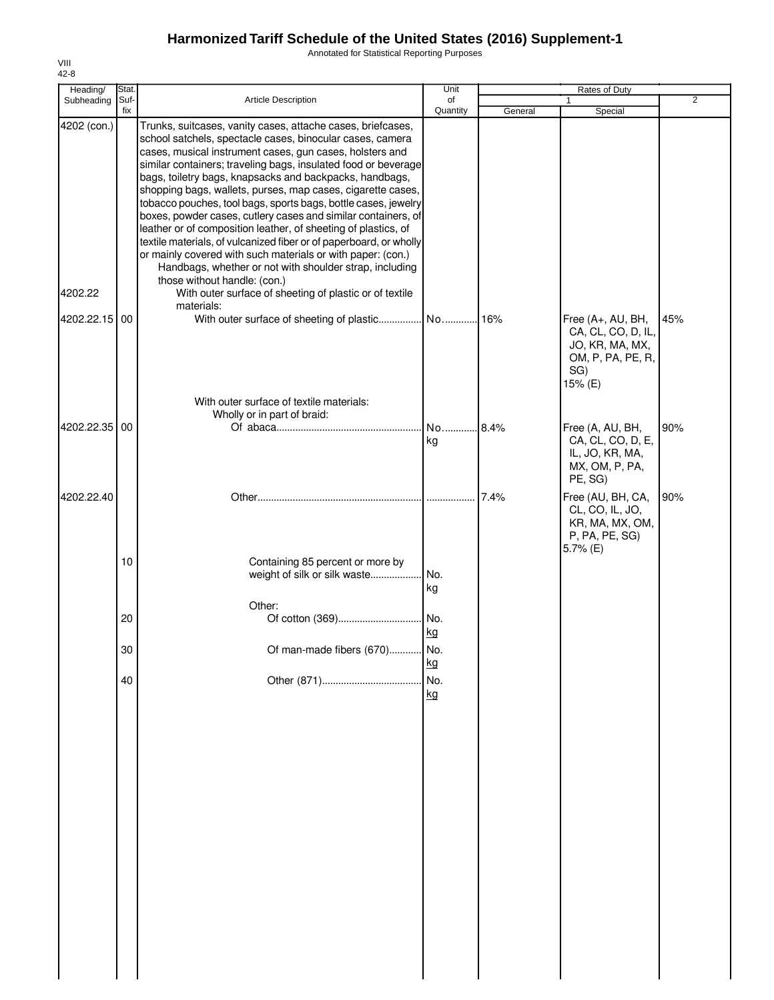Annotated for Statistical Reporting Purposes

| Heading/      | Stat.       |                                                                                                                                                                                                                                                                                                                                                                                                                                                                                                                                                                                                                                                                                                                                                                                                                       | Unit           |         | Rates of Duty                                                                                     |                |
|---------------|-------------|-----------------------------------------------------------------------------------------------------------------------------------------------------------------------------------------------------------------------------------------------------------------------------------------------------------------------------------------------------------------------------------------------------------------------------------------------------------------------------------------------------------------------------------------------------------------------------------------------------------------------------------------------------------------------------------------------------------------------------------------------------------------------------------------------------------------------|----------------|---------|---------------------------------------------------------------------------------------------------|----------------|
| Subheading    | Suf-<br>fix | Article Description                                                                                                                                                                                                                                                                                                                                                                                                                                                                                                                                                                                                                                                                                                                                                                                                   | of<br>Quantity | General | $\mathbf{1}$<br>Special                                                                           | $\overline{2}$ |
| 4202 (con.)   |             | Trunks, suitcases, vanity cases, attache cases, briefcases,<br>school satchels, spectacle cases, binocular cases, camera<br>cases, musical instrument cases, gun cases, holsters and<br>similar containers; traveling bags, insulated food or beverage<br>bags, toiletry bags, knapsacks and backpacks, handbags,<br>shopping bags, wallets, purses, map cases, cigarette cases,<br>tobacco pouches, tool bags, sports bags, bottle cases, jewelry<br>boxes, powder cases, cutlery cases and similar containers, of<br>leather or of composition leather, of sheeting of plastics, of<br>textile materials, of vulcanized fiber or of paperboard, or wholly<br>or mainly covered with such materials or with paper: (con.)<br>Handbags, whether or not with shoulder strap, including<br>those without handle: (con.) |                |         |                                                                                                   |                |
| 4202.22       |             | With outer surface of sheeting of plastic or of textile                                                                                                                                                                                                                                                                                                                                                                                                                                                                                                                                                                                                                                                                                                                                                               |                |         |                                                                                                   |                |
| 4202.22.15    | 00          | materials:                                                                                                                                                                                                                                                                                                                                                                                                                                                                                                                                                                                                                                                                                                                                                                                                            |                |         | Free (A+, AU, BH,<br>CA, CL, CO, D, IL,<br>JO, KR, MA, MX,<br>OM, P, PA, PE, R,<br>SG)<br>15% (E) | 45%            |
|               |             | With outer surface of textile materials:                                                                                                                                                                                                                                                                                                                                                                                                                                                                                                                                                                                                                                                                                                                                                                              |                |         |                                                                                                   |                |
| 4202.22.35 00 |             | Wholly or in part of braid:                                                                                                                                                                                                                                                                                                                                                                                                                                                                                                                                                                                                                                                                                                                                                                                           | No<br>kg       | .8.4%   | Free (A, AU, BH,<br>CA, CL, CO, D, E,<br>IL, JO, KR, MA,<br>MX, OM, P, PA,<br>PE, SG)             | 90%            |
| 4202.22.40    |             |                                                                                                                                                                                                                                                                                                                                                                                                                                                                                                                                                                                                                                                                                                                                                                                                                       |                | 7.4%    | Free (AU, BH, CA,<br>CL, CO, IL, JO,<br>KR, MA, MX, OM,<br>P, PA, PE, SG)<br>5.7% (E)             | 90%            |
|               | 10          | Containing 85 percent or more by<br>weight of silk or silk waste<br>Other:                                                                                                                                                                                                                                                                                                                                                                                                                                                                                                                                                                                                                                                                                                                                            | No.<br>kg      |         |                                                                                                   |                |
|               | 20          |                                                                                                                                                                                                                                                                                                                                                                                                                                                                                                                                                                                                                                                                                                                                                                                                                       | kg             |         |                                                                                                   |                |
|               | 30          | Of man-made fibers (670) No.                                                                                                                                                                                                                                                                                                                                                                                                                                                                                                                                                                                                                                                                                                                                                                                          | kg             |         |                                                                                                   |                |
|               | 40          |                                                                                                                                                                                                                                                                                                                                                                                                                                                                                                                                                                                                                                                                                                                                                                                                                       | No.<br>kg      |         |                                                                                                   |                |
|               |             |                                                                                                                                                                                                                                                                                                                                                                                                                                                                                                                                                                                                                                                                                                                                                                                                                       |                |         |                                                                                                   |                |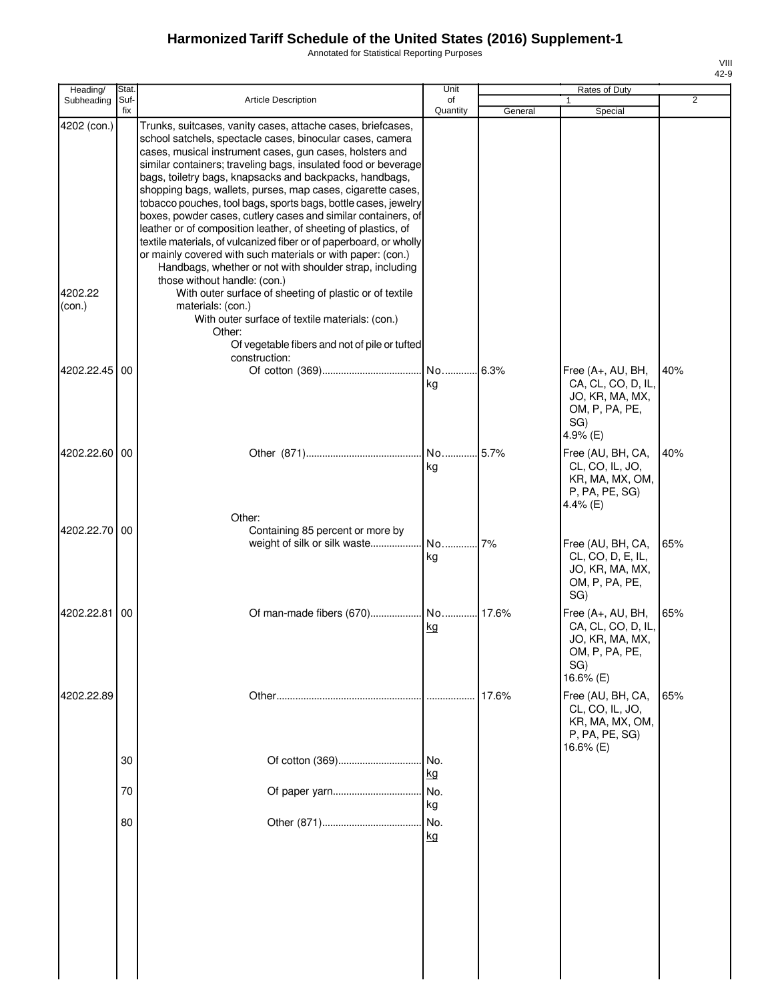Annotated for Statistical Reporting Purposes

| Heading/               | Stat.       |                                                                                                                                                                                                                                                                                                                                                                                                                                                                                                                                                                                                                                                                                                                                                                                                                                                                                  | Unit                   |         | Rates of Duty                                                                                    |     |
|------------------------|-------------|----------------------------------------------------------------------------------------------------------------------------------------------------------------------------------------------------------------------------------------------------------------------------------------------------------------------------------------------------------------------------------------------------------------------------------------------------------------------------------------------------------------------------------------------------------------------------------------------------------------------------------------------------------------------------------------------------------------------------------------------------------------------------------------------------------------------------------------------------------------------------------|------------------------|---------|--------------------------------------------------------------------------------------------------|-----|
| Subheading             | Suf-<br>fix | <b>Article Description</b>                                                                                                                                                                                                                                                                                                                                                                                                                                                                                                                                                                                                                                                                                                                                                                                                                                                       | of<br>Quantity         | General | Special                                                                                          | 2   |
| 4202 (con.)<br>4202.22 |             | Trunks, suitcases, vanity cases, attache cases, briefcases,<br>school satchels, spectacle cases, binocular cases, camera<br>cases, musical instrument cases, gun cases, holsters and<br>similar containers; traveling bags, insulated food or beverage<br>bags, toiletry bags, knapsacks and backpacks, handbags,<br>shopping bags, wallets, purses, map cases, cigarette cases,<br>tobacco pouches, tool bags, sports bags, bottle cases, jewelry<br>boxes, powder cases, cutlery cases and similar containers, of<br>leather or of composition leather, of sheeting of plastics, of<br>textile materials, of vulcanized fiber or of paperboard, or wholly<br>or mainly covered with such materials or with paper: (con.)<br>Handbags, whether or not with shoulder strap, including<br>those without handle: (con.)<br>With outer surface of sheeting of plastic or of textile |                        |         |                                                                                                  |     |
| (con.)                 |             | materials: (con.)<br>With outer surface of textile materials: (con.)<br>Other:<br>Of vegetable fibers and not of pile or tufted<br>construction:                                                                                                                                                                                                                                                                                                                                                                                                                                                                                                                                                                                                                                                                                                                                 |                        |         |                                                                                                  |     |
| 4202.22.45             | 00          |                                                                                                                                                                                                                                                                                                                                                                                                                                                                                                                                                                                                                                                                                                                                                                                                                                                                                  | kg                     | .6.3%   | Free (A+, AU, BH,<br>CA, CL, CO, D, IL,<br>JO, KR, MA, MX,<br>OM, P, PA, PE,<br>SG)<br>4.9% (E)  | 40% |
| 4202.22.60 00          |             | Other:                                                                                                                                                                                                                                                                                                                                                                                                                                                                                                                                                                                                                                                                                                                                                                                                                                                                           | No 5.7%<br>kg          |         | Free (AU, BH, CA,<br>CL, CO, IL, JO,<br>KR, MA, MX, OM,<br>P, PA, PE, SG)<br>4.4% (E)            | 40% |
| 4202.22.70 00          |             | Containing 85 percent or more by<br>weight of silk or silk waste                                                                                                                                                                                                                                                                                                                                                                                                                                                                                                                                                                                                                                                                                                                                                                                                                 | No<br>kg               | 7%      | Free (AU, BH, CA,<br>CL, CO, D, E, IL,<br>JO, KR, MA, MX,<br>OM, P, PA, PE,<br>SG)               | 65% |
| 4202.22.81             | 00          | Of man-made fibers (670) No 17.6%                                                                                                                                                                                                                                                                                                                                                                                                                                                                                                                                                                                                                                                                                                                                                                                                                                                | <u>kg</u>              |         | Free (A+, AU, BH,<br>CA, CL, CO, D, IL,<br>JO, KR, MA, MX,<br>OM, P, PA, PE,<br>SG)<br>16.6% (E) | 65% |
| 4202.22.89             | 30          | Of cotton (369)                                                                                                                                                                                                                                                                                                                                                                                                                                                                                                                                                                                                                                                                                                                                                                                                                                                                  | No.                    | 17.6%   | Free (AU, BH, CA,<br>CL, CO, IL, JO,<br>KR, MA, MX, OM,<br>P, PA, PE, SG)<br>16.6% (E)           | 65% |
|                        | 70          | Of paper yarn                                                                                                                                                                                                                                                                                                                                                                                                                                                                                                                                                                                                                                                                                                                                                                                                                                                                    | kg<br>No.              |         |                                                                                                  |     |
|                        | 80          |                                                                                                                                                                                                                                                                                                                                                                                                                                                                                                                                                                                                                                                                                                                                                                                                                                                                                  | kg<br>No.<br><u>kg</u> |         |                                                                                                  |     |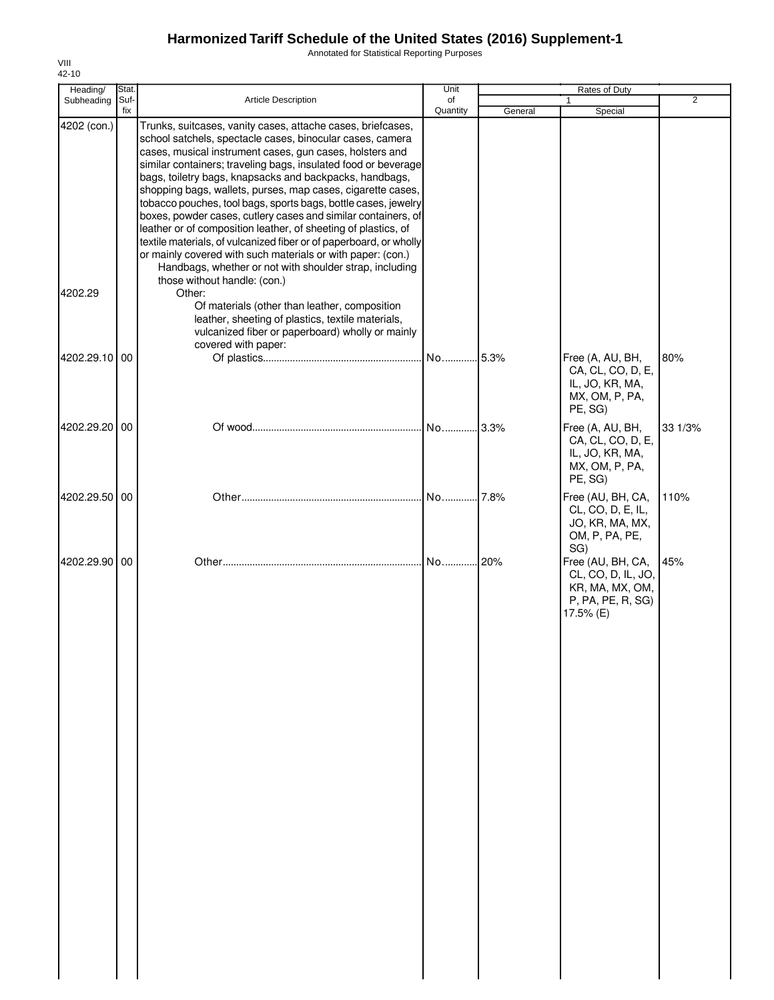Annotated for Statistical Reporting Purposes

| Heading/               | Stat.       |                                                                                                                                                                                                                                                                                                                                                                                                                                                                                                                                                                                                                                                                                                                                                                                                                                 | Unit           |         | Rates of Duty                                                                                |                |
|------------------------|-------------|---------------------------------------------------------------------------------------------------------------------------------------------------------------------------------------------------------------------------------------------------------------------------------------------------------------------------------------------------------------------------------------------------------------------------------------------------------------------------------------------------------------------------------------------------------------------------------------------------------------------------------------------------------------------------------------------------------------------------------------------------------------------------------------------------------------------------------|----------------|---------|----------------------------------------------------------------------------------------------|----------------|
| Subheading             | Suf-<br>fix | <b>Article Description</b>                                                                                                                                                                                                                                                                                                                                                                                                                                                                                                                                                                                                                                                                                                                                                                                                      | of<br>Quantity | General | Special                                                                                      | $\overline{2}$ |
| 4202 (con.)<br>4202.29 |             | Trunks, suitcases, vanity cases, attache cases, briefcases,<br>school satchels, spectacle cases, binocular cases, camera<br>cases, musical instrument cases, gun cases, holsters and<br>similar containers; traveling bags, insulated food or beverage<br>bags, toiletry bags, knapsacks and backpacks, handbags,<br>shopping bags, wallets, purses, map cases, cigarette cases,<br>tobacco pouches, tool bags, sports bags, bottle cases, jewelry<br>boxes, powder cases, cutlery cases and similar containers, of<br>leather or of composition leather, of sheeting of plastics, of<br>textile materials, of vulcanized fiber or of paperboard, or wholly<br>or mainly covered with such materials or with paper: (con.)<br>Handbags, whether or not with shoulder strap, including<br>those without handle: (con.)<br>Other: |                |         |                                                                                              |                |
|                        |             | Of materials (other than leather, composition<br>leather, sheeting of plastics, textile materials,<br>vulcanized fiber or paperboard) wholly or mainly<br>covered with paper:                                                                                                                                                                                                                                                                                                                                                                                                                                                                                                                                                                                                                                                   |                |         |                                                                                              |                |
| 4202.29.10 00          |             |                                                                                                                                                                                                                                                                                                                                                                                                                                                                                                                                                                                                                                                                                                                                                                                                                                 |                |         | Free (A, AU, BH,<br>CA, CL, CO, D, E,<br>IL, JO, KR, MA,<br>MX, OM, P, PA,<br>PE, SG)        | 80%            |
| 4202.29.20 00          |             |                                                                                                                                                                                                                                                                                                                                                                                                                                                                                                                                                                                                                                                                                                                                                                                                                                 | . No.  3.3%    |         | Free (A, AU, BH,<br>CA, CL, CO, D, E,<br>IL, JO, KR, MA,<br>MX, OM, P, PA,<br>PE, SG)        | 33 1/3%        |
| 4202.29.50 00          |             |                                                                                                                                                                                                                                                                                                                                                                                                                                                                                                                                                                                                                                                                                                                                                                                                                                 | No 7.8%        |         | Free (AU, BH, CA,<br>CL, CO, D, E, IL,<br>JO, KR, MA, MX,<br>OM, P, PA, PE,<br>SG)           | 110%           |
| 4202.29.90 00          |             |                                                                                                                                                                                                                                                                                                                                                                                                                                                                                                                                                                                                                                                                                                                                                                                                                                 | No 20%         |         | Free (AU, BH, CA,<br>CL, CO, D, IL, JO,<br>KR, MA, MX, OM,<br>P, PA, PE, R, SG)<br>17.5% (E) | 45%            |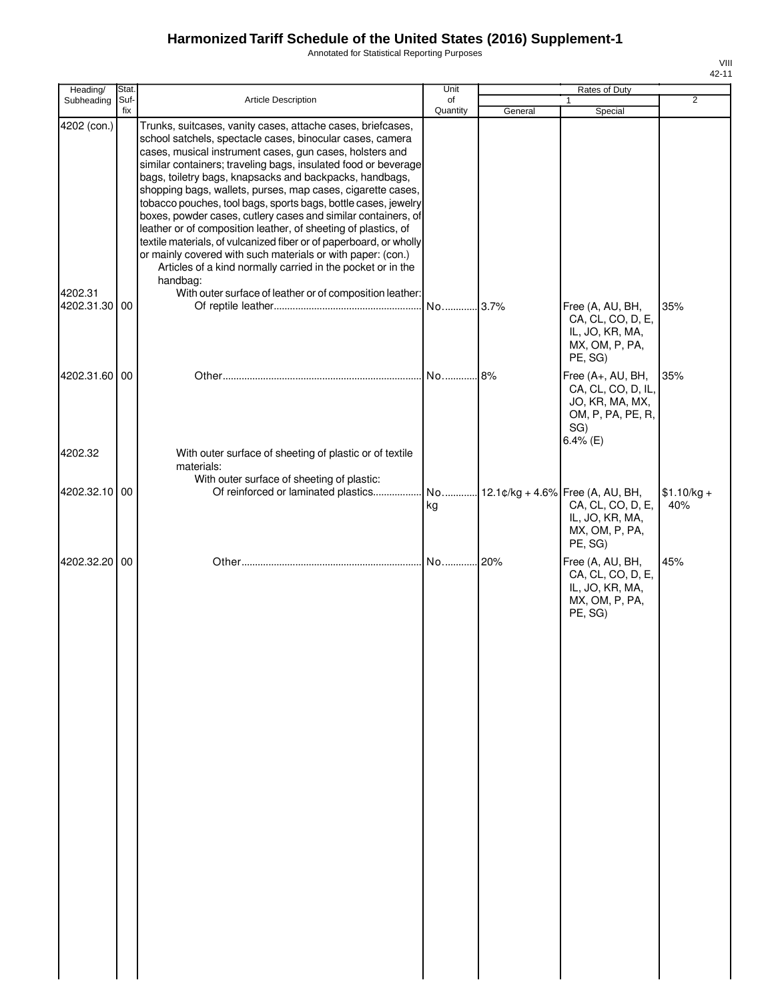Annotated for Statistical Reporting Purposes

| ı |  |
|---|--|
|   |  |

| Heading/               | Stat.       |                                                                                                                                                                                                                                                                                                                                                                                                                                                                                                                                                                                                                                                                                                                                                                                                                                                                   | Unit           |         | Rates of Duty                                                                                        |                     |
|------------------------|-------------|-------------------------------------------------------------------------------------------------------------------------------------------------------------------------------------------------------------------------------------------------------------------------------------------------------------------------------------------------------------------------------------------------------------------------------------------------------------------------------------------------------------------------------------------------------------------------------------------------------------------------------------------------------------------------------------------------------------------------------------------------------------------------------------------------------------------------------------------------------------------|----------------|---------|------------------------------------------------------------------------------------------------------|---------------------|
| Subheading             | Suf-<br>fix | Article Description                                                                                                                                                                                                                                                                                                                                                                                                                                                                                                                                                                                                                                                                                                                                                                                                                                               | of<br>Quantity |         | $\mathbf{1}$                                                                                         | $\overline{2}$      |
| 4202 (con.)<br>4202.31 |             | Trunks, suitcases, vanity cases, attache cases, briefcases,<br>school satchels, spectacle cases, binocular cases, camera<br>cases, musical instrument cases, gun cases, holsters and<br>similar containers; traveling bags, insulated food or beverage<br>bags, toiletry bags, knapsacks and backpacks, handbags,<br>shopping bags, wallets, purses, map cases, cigarette cases,<br>tobacco pouches, tool bags, sports bags, bottle cases, jewelry<br>boxes, powder cases, cutlery cases and similar containers, of<br>leather or of composition leather, of sheeting of plastics, of<br>textile materials, of vulcanized fiber or of paperboard, or wholly<br>or mainly covered with such materials or with paper: (con.)<br>Articles of a kind normally carried in the pocket or in the<br>handbag:<br>With outer surface of leather or of composition leather: |                | General | Special                                                                                              |                     |
| 4202.31.30 00          |             |                                                                                                                                                                                                                                                                                                                                                                                                                                                                                                                                                                                                                                                                                                                                                                                                                                                                   | No 3.7%        |         | Free (A, AU, BH,<br>CA, CL, CO, D, E,<br>IL, JO, KR, MA,<br>MX, OM, P, PA,<br>PE, SG)                | 35%                 |
| 4202.31.60 00          |             |                                                                                                                                                                                                                                                                                                                                                                                                                                                                                                                                                                                                                                                                                                                                                                                                                                                                   |                |         | Free (A+, AU, BH,<br>CA, CL, CO, D, IL,<br>JO, KR, MA, MX,<br>OM, P, PA, PE, R,<br>SG)<br>6.4% $(E)$ | 35%                 |
| 4202.32                |             | With outer surface of sheeting of plastic or of textile<br>materials:<br>With outer surface of sheeting of plastic:                                                                                                                                                                                                                                                                                                                                                                                                                                                                                                                                                                                                                                                                                                                                               |                |         |                                                                                                      |                     |
| 4202.32.10 00          |             |                                                                                                                                                                                                                                                                                                                                                                                                                                                                                                                                                                                                                                                                                                                                                                                                                                                                   | kg             |         | CA, CL, CO, D, E,<br>IL, JO, KR, MA,<br>MX, OM, P, PA,<br>PE, SG)                                    | $$1.10/kg +$<br>40% |
| 4202.32.20 00          |             |                                                                                                                                                                                                                                                                                                                                                                                                                                                                                                                                                                                                                                                                                                                                                                                                                                                                   | No120%         |         | Free (A, AU, BH,<br>CA, CL, CO, D, E,<br>IL, JO, KR, MA,<br>MX, OM, P, PA,<br>PE, SG)                | 45%                 |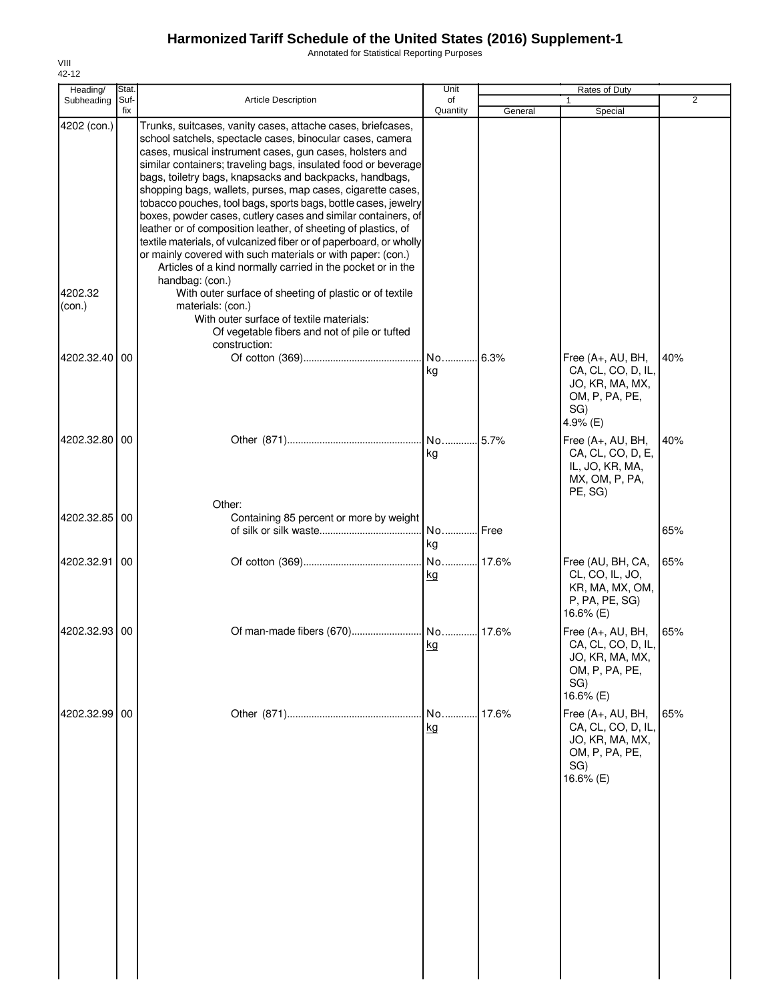Annotated for Statistical Reporting Purposes

| Heading/          | Stat.       |                                                                                                                                                                                                                                                                                                                                                                                                                                                                                                                                                                                                                                                                                                                                                                                                              | Unit           |         | Rates of Duty                                                                                    |                |
|-------------------|-------------|--------------------------------------------------------------------------------------------------------------------------------------------------------------------------------------------------------------------------------------------------------------------------------------------------------------------------------------------------------------------------------------------------------------------------------------------------------------------------------------------------------------------------------------------------------------------------------------------------------------------------------------------------------------------------------------------------------------------------------------------------------------------------------------------------------------|----------------|---------|--------------------------------------------------------------------------------------------------|----------------|
| Subheading        | Suf-<br>fix | Article Description                                                                                                                                                                                                                                                                                                                                                                                                                                                                                                                                                                                                                                                                                                                                                                                          | of<br>Quantity | General | Special                                                                                          | $\overline{2}$ |
| 4202 (con.)       |             | Trunks, suitcases, vanity cases, attache cases, briefcases,<br>school satchels, spectacle cases, binocular cases, camera<br>cases, musical instrument cases, gun cases, holsters and<br>similar containers; traveling bags, insulated food or beverage<br>bags, toiletry bags, knapsacks and backpacks, handbags,<br>shopping bags, wallets, purses, map cases, cigarette cases,<br>tobacco pouches, tool bags, sports bags, bottle cases, jewelry<br>boxes, powder cases, cutlery cases and similar containers, of<br>leather or of composition leather, of sheeting of plastics, of<br>textile materials, of vulcanized fiber or of paperboard, or wholly<br>or mainly covered with such materials or with paper: (con.)<br>Articles of a kind normally carried in the pocket or in the<br>handbag: (con.) |                |         |                                                                                                  |                |
| 4202.32<br>(con.) |             | With outer surface of sheeting of plastic or of textile<br>materials: (con.)<br>With outer surface of textile materials:<br>Of vegetable fibers and not of pile or tufted<br>construction:                                                                                                                                                                                                                                                                                                                                                                                                                                                                                                                                                                                                                   |                |         |                                                                                                  |                |
| 4202.32.40        | 00          |                                                                                                                                                                                                                                                                                                                                                                                                                                                                                                                                                                                                                                                                                                                                                                                                              | No<br>kg       | 6.3%    | Free (A+, AU, BH,<br>CA, CL, CO, D, IL,<br>JO, KR, MA, MX,<br>OM, P, PA, PE,<br>SG)<br>4.9% (E)  | 40%            |
| 4202.32.80 00     |             |                                                                                                                                                                                                                                                                                                                                                                                                                                                                                                                                                                                                                                                                                                                                                                                                              | No 5.7%<br>kg  |         | Free (A+, AU, BH,<br>CA, CL, CO, D, E,<br>IL, JO, KR, MA,<br>MX, OM, P, PA,<br>PE, SG)           | 40%            |
| 4202.32.85        | 00          | Other:<br>Containing 85 percent or more by weight                                                                                                                                                                                                                                                                                                                                                                                                                                                                                                                                                                                                                                                                                                                                                            | No<br>kg       | Free    |                                                                                                  | 65%            |
| 4202.32.91        | 00          |                                                                                                                                                                                                                                                                                                                                                                                                                                                                                                                                                                                                                                                                                                                                                                                                              | kg             |         | Free (AU, BH, CA,<br>CL, CO, IL, JO,<br>KR, MA, MX, OM,<br>P, PA, PE, SG)<br>16.6% (E)           | 65%            |
| 4202.32.93 00     |             |                                                                                                                                                                                                                                                                                                                                                                                                                                                                                                                                                                                                                                                                                                                                                                                                              | kg             |         | Free (A+, AU, BH,<br>CA, CL, CO, D, IL,<br>JO, KR, MA, MX,<br>OM, P, PA, PE,<br>SG)<br>16.6% (E) | 65%            |
| 4202.32.99 00     |             |                                                                                                                                                                                                                                                                                                                                                                                                                                                                                                                                                                                                                                                                                                                                                                                                              | No<br>kg       | 17.6%   | Free (A+, AU, BH,<br>CA, CL, CO, D, IL,<br>JO, KR, MA, MX,<br>OM, P, PA, PE,<br>SG)<br>16.6% (E) | 65%            |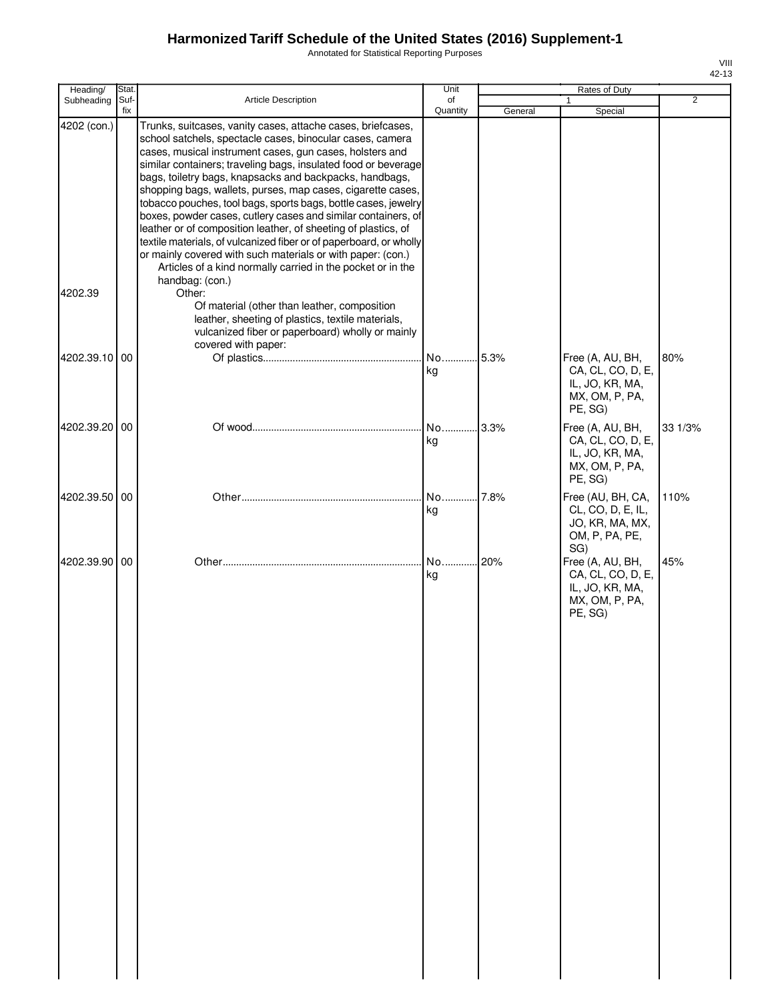Annotated for Statistical Reporting Purposes

|   | VIII<br>42-13 |
|---|---------------|
|   |               |
| 2 |               |
|   |               |
|   |               |

| Heading/      | Stat.       |                                                                                                                                                                                                                                                                                                                                                                                                                                                                                                                                                                                                                                                                                                                                                                                           | Unit           |         | Rates of Duty                                                                         |                |
|---------------|-------------|-------------------------------------------------------------------------------------------------------------------------------------------------------------------------------------------------------------------------------------------------------------------------------------------------------------------------------------------------------------------------------------------------------------------------------------------------------------------------------------------------------------------------------------------------------------------------------------------------------------------------------------------------------------------------------------------------------------------------------------------------------------------------------------------|----------------|---------|---------------------------------------------------------------------------------------|----------------|
| Subheading    | Suf-<br>fix | <b>Article Description</b>                                                                                                                                                                                                                                                                                                                                                                                                                                                                                                                                                                                                                                                                                                                                                                | of<br>Quantity | General | 1<br>Special                                                                          | $\overline{2}$ |
| 4202 (con.)   |             | Trunks, suitcases, vanity cases, attache cases, briefcases,<br>school satchels, spectacle cases, binocular cases, camera<br>cases, musical instrument cases, gun cases, holsters and<br>similar containers; traveling bags, insulated food or beverage<br>bags, toiletry bags, knapsacks and backpacks, handbags,<br>shopping bags, wallets, purses, map cases, cigarette cases,<br>tobacco pouches, tool bags, sports bags, bottle cases, jewelry<br>boxes, powder cases, cutlery cases and similar containers, of<br>leather or of composition leather, of sheeting of plastics, of<br>textile materials, of vulcanized fiber or of paperboard, or wholly<br>or mainly covered with such materials or with paper: (con.)<br>Articles of a kind normally carried in the pocket or in the |                |         |                                                                                       |                |
| 4202.39       |             | handbag: (con.)<br>Other:<br>Of material (other than leather, composition<br>leather, sheeting of plastics, textile materials,<br>vulcanized fiber or paperboard) wholly or mainly<br>covered with paper:                                                                                                                                                                                                                                                                                                                                                                                                                                                                                                                                                                                 |                |         |                                                                                       |                |
| 4202.39.10 00 |             |                                                                                                                                                                                                                                                                                                                                                                                                                                                                                                                                                                                                                                                                                                                                                                                           | No<br>kg       | .5.3%   | Free (A, AU, BH,<br>CA, CL, CO, D, E,<br>IL, JO, KR, MA,<br>MX, OM, P, PA,<br>PE, SG) | 80%            |
| 4202.39.20 00 |             |                                                                                                                                                                                                                                                                                                                                                                                                                                                                                                                                                                                                                                                                                                                                                                                           | No<br>kg       | .3.3%   | Free (A, AU, BH,<br>CA, CL, CO, D, E,<br>IL, JO, KR, MA,<br>MX, OM, P, PA,<br>PE, SG) | 33 1/3%        |
| 4202.39.50 00 |             |                                                                                                                                                                                                                                                                                                                                                                                                                                                                                                                                                                                                                                                                                                                                                                                           | No<br>kg       | 7.8%    | Free (AU, BH, CA,<br>CL, CO, D, E, IL,<br>JO, KR, MA, MX,<br>OM, P, PA, PE,<br>SG)    | 110%           |
| 4202.39.90 00 |             |                                                                                                                                                                                                                                                                                                                                                                                                                                                                                                                                                                                                                                                                                                                                                                                           | No 20%<br>kg   |         | Free (A, AU, BH,<br>CA, CL, CO, D, E,<br>IL, JO, KR, MA,<br>MX, OM, P, PA,<br>PE, SG) | 45%            |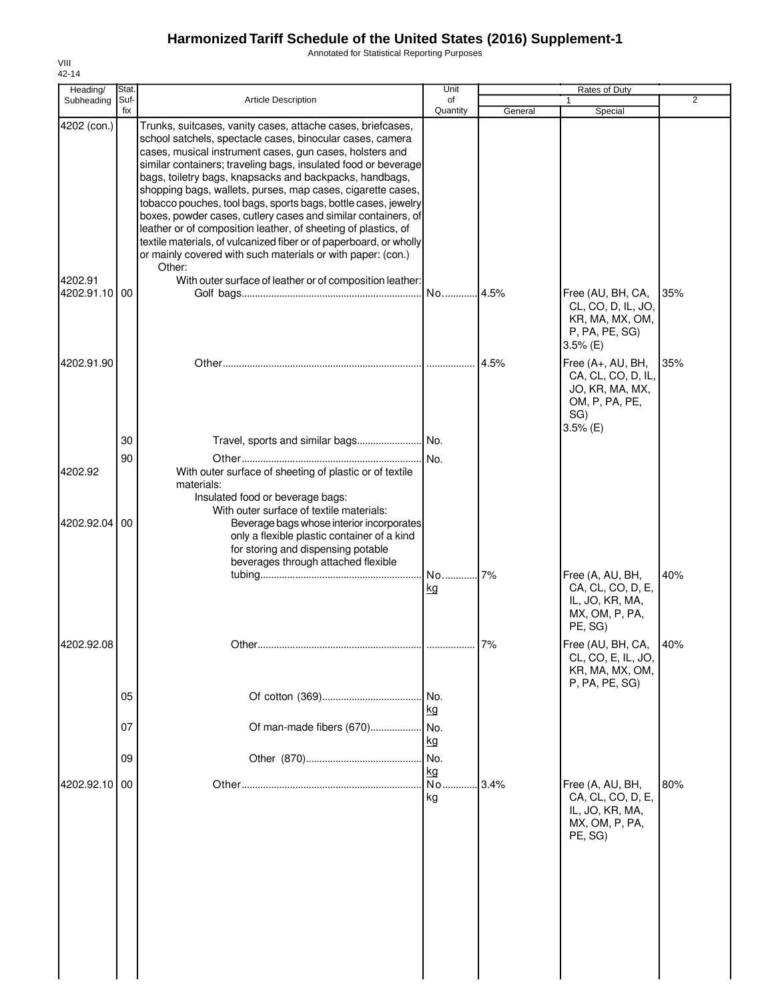Annotated for Statistical Reporting Purposes

| Stat. |                                                                                                                                                                                                                                                                                                                                                                                                                                                 | Unit                                                                                                                         |                                                                                                                                                                                                                                                                                                                                                                                                           | Rates of Duty                                                                                     |                                         |
|-------|-------------------------------------------------------------------------------------------------------------------------------------------------------------------------------------------------------------------------------------------------------------------------------------------------------------------------------------------------------------------------------------------------------------------------------------------------|------------------------------------------------------------------------------------------------------------------------------|-----------------------------------------------------------------------------------------------------------------------------------------------------------------------------------------------------------------------------------------------------------------------------------------------------------------------------------------------------------------------------------------------------------|---------------------------------------------------------------------------------------------------|-----------------------------------------|
| fix   |                                                                                                                                                                                                                                                                                                                                                                                                                                                 | Quantity                                                                                                                     | General                                                                                                                                                                                                                                                                                                                                                                                                   | Special                                                                                           | $\overline{2}$                          |
|       | Trunks, suitcases, vanity cases, attache cases, briefcases,<br>school satchels, spectacle cases, binocular cases, camera<br>cases, musical instrument cases, gun cases, holsters and<br>bags, toiletry bags, knapsacks and backpacks, handbags,<br>shopping bags, wallets, purses, map cases, cigarette cases,<br>leather or of composition leather, of sheeting of plastics, of<br>or mainly covered with such materials or with paper: (con.) |                                                                                                                              |                                                                                                                                                                                                                                                                                                                                                                                                           |                                                                                                   |                                         |
|       |                                                                                                                                                                                                                                                                                                                                                                                                                                                 | No                                                                                                                           | 4.5%                                                                                                                                                                                                                                                                                                                                                                                                      | Free (AU, BH, CA,<br>CL, CO, D, IL, JO,<br>KR, MA, MX, OM,<br>P, PA, PE, SG)<br>$3.5%$ (E)        | 35%                                     |
|       |                                                                                                                                                                                                                                                                                                                                                                                                                                                 |                                                                                                                              | 4.5%                                                                                                                                                                                                                                                                                                                                                                                                      | Free (A+, AU, BH,<br>CA, CL, CO, D, IL,<br>JO, KR, MA, MX,<br>OM, P, PA, PE,<br>SG)<br>$3.5%$ (E) | 35%                                     |
|       |                                                                                                                                                                                                                                                                                                                                                                                                                                                 |                                                                                                                              |                                                                                                                                                                                                                                                                                                                                                                                                           |                                                                                                   |                                         |
|       | With outer surface of sheeting of plastic or of textile<br>materials:<br>Insulated food or beverage bags:                                                                                                                                                                                                                                                                                                                                       |                                                                                                                              |                                                                                                                                                                                                                                                                                                                                                                                                           |                                                                                                   |                                         |
| 00    | only a flexible plastic container of a kind<br>for storing and dispensing potable<br>beverages through attached flexible                                                                                                                                                                                                                                                                                                                        |                                                                                                                              |                                                                                                                                                                                                                                                                                                                                                                                                           |                                                                                                   |                                         |
|       |                                                                                                                                                                                                                                                                                                                                                                                                                                                 | kg                                                                                                                           |                                                                                                                                                                                                                                                                                                                                                                                                           | CA, CL, CO, D, E,<br>IL, JO, KR, MA,<br>MX, OM, P, PA,<br>PE, SG)                                 | 40%                                     |
|       | Other.                                                                                                                                                                                                                                                                                                                                                                                                                                          |                                                                                                                              | 7%                                                                                                                                                                                                                                                                                                                                                                                                        | Free (AU, BH, CA,<br>CL, CO, E, IL, JO,<br>KR, MA, MX, OM,                                        | 40%                                     |
|       |                                                                                                                                                                                                                                                                                                                                                                                                                                                 | No.                                                                                                                          |                                                                                                                                                                                                                                                                                                                                                                                                           |                                                                                                   |                                         |
|       | Of man-made fibers (670)                                                                                                                                                                                                                                                                                                                                                                                                                        | No.<br>kg                                                                                                                    |                                                                                                                                                                                                                                                                                                                                                                                                           |                                                                                                   |                                         |
|       |                                                                                                                                                                                                                                                                                                                                                                                                                                                 | No.                                                                                                                          |                                                                                                                                                                                                                                                                                                                                                                                                           |                                                                                                   |                                         |
|       |                                                                                                                                                                                                                                                                                                                                                                                                                                                 | No.<br>kg                                                                                                                    | 3.4%                                                                                                                                                                                                                                                                                                                                                                                                      | Free (A, AU, BH,<br>CA, CL, CO, D, E,<br>IL, JO, KR, MA,<br>MX, OM, P, PA,<br>PE, SG)             | 80%                                     |
|       | Subheading<br>4202 (con.)<br>4202.91.10<br>4202.91.90<br>30<br>4202.92.04<br>4202.92.08<br>4202.92.10                                                                                                                                                                                                                                                                                                                                           | <b>Article Description</b><br>Suf-<br>Other:<br>00<br>90<br>With outer surface of textile materials:<br>05<br>07<br>09<br>00 | of<br>similar containers; traveling bags, insulated food or beverage<br>tobacco pouches, tool bags, sports bags, bottle cases, jewelry<br>boxes, powder cases, cutlery cases and similar containers, of<br>textile materials, of vulcanized fiber or of paperboard, or wholly<br>With outer surface of leather or of composition leather:<br>No.<br>Beverage bags whose interior incorporates<br>kg<br>kg | No<br>7%                                                                                          | 1<br>Free (A, AU, BH,<br>P, PA, PE, SG) |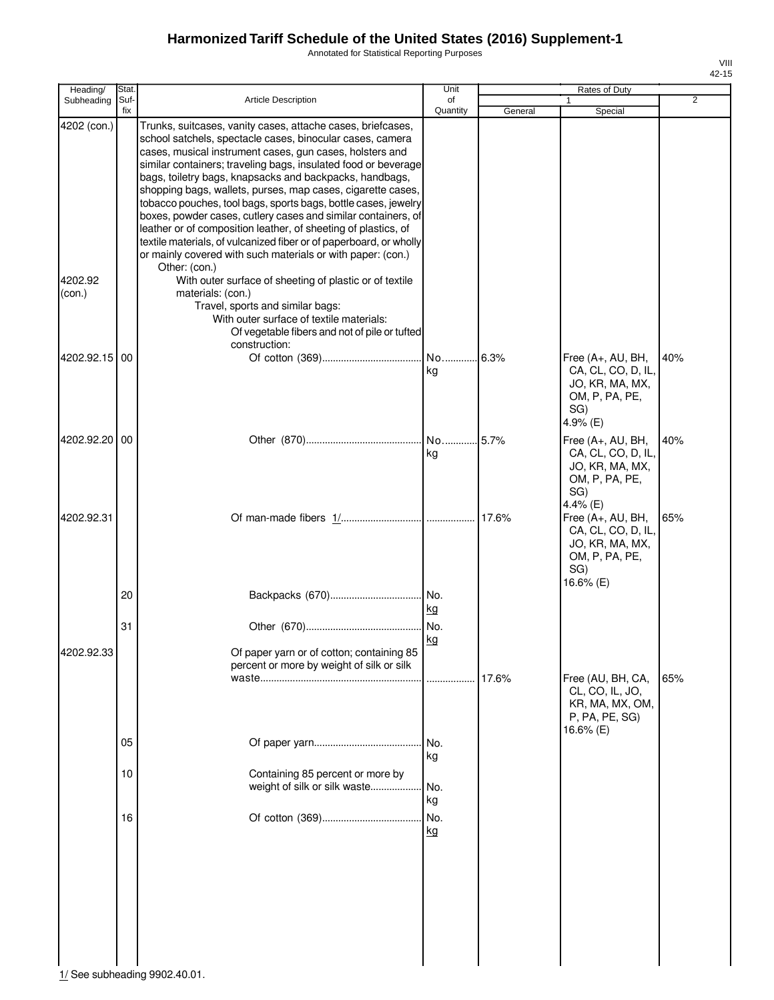Annotated for Statistical Reporting Purposes

| Heading/               | Stat.       |                                                                                                                                                                                                                                                                                                                                                                                                                                                                                                                                                                                                                                                                                                                                                                                                        | Unit                   |         | Rates of Duty                                                                                    |                |
|------------------------|-------------|--------------------------------------------------------------------------------------------------------------------------------------------------------------------------------------------------------------------------------------------------------------------------------------------------------------------------------------------------------------------------------------------------------------------------------------------------------------------------------------------------------------------------------------------------------------------------------------------------------------------------------------------------------------------------------------------------------------------------------------------------------------------------------------------------------|------------------------|---------|--------------------------------------------------------------------------------------------------|----------------|
| Subheading             | Suf-<br>fix | <b>Article Description</b>                                                                                                                                                                                                                                                                                                                                                                                                                                                                                                                                                                                                                                                                                                                                                                             | of<br>Quantity         | General | 1<br>Special                                                                                     | $\overline{2}$ |
| 4202 (con.)<br>4202.92 |             | Trunks, suitcases, vanity cases, attache cases, briefcases,<br>school satchels, spectacle cases, binocular cases, camera<br>cases, musical instrument cases, gun cases, holsters and<br>similar containers; traveling bags, insulated food or beverage<br>bags, toiletry bags, knapsacks and backpacks, handbags,<br>shopping bags, wallets, purses, map cases, cigarette cases,<br>tobacco pouches, tool bags, sports bags, bottle cases, jewelry<br>boxes, powder cases, cutlery cases and similar containers, of<br>leather or of composition leather, of sheeting of plastics, of<br>textile materials, of vulcanized fiber or of paperboard, or wholly<br>or mainly covered with such materials or with paper: (con.)<br>Other: (con.)<br>With outer surface of sheeting of plastic or of textile |                        |         |                                                                                                  |                |
| (con.)                 |             | materials: (con.)<br>Travel, sports and similar bags:<br>With outer surface of textile materials:<br>Of vegetable fibers and not of pile or tufted<br>construction:                                                                                                                                                                                                                                                                                                                                                                                                                                                                                                                                                                                                                                    |                        |         |                                                                                                  |                |
| 4202.92.15 00          |             |                                                                                                                                                                                                                                                                                                                                                                                                                                                                                                                                                                                                                                                                                                                                                                                                        | kg                     |         | Free (A+, AU, BH,<br>CA, CL, CO, D, IL,<br>JO, KR, MA, MX,<br>OM, P, PA, PE,<br>SG)<br>4.9% (E)  | 40%            |
| 4202.92.20 00          |             |                                                                                                                                                                                                                                                                                                                                                                                                                                                                                                                                                                                                                                                                                                                                                                                                        | kg                     |         | Free (A+, AU, BH,<br>CA, CL, CO, D, IL,<br>JO, KR, MA, MX,<br>OM, P, PA, PE,<br>SG)<br>4.4% (E)  | 40%            |
| 4202.92.31             | 20          |                                                                                                                                                                                                                                                                                                                                                                                                                                                                                                                                                                                                                                                                                                                                                                                                        | kg                     |         | Free (A+, AU, BH,<br>CA, CL, CO, D, IL,<br>JO, KR, MA, MX,<br>OM, P, PA, PE,<br>SG)<br>16.6% (E) | 65%            |
| 4202.92.33             | 31          | Of paper yarn or of cotton; containing 85<br>percent or more by weight of silk or silk                                                                                                                                                                                                                                                                                                                                                                                                                                                                                                                                                                                                                                                                                                                 | No.<br>kg<br>.         | 17.6%   | Free (AU, BH, CA,<br>CL, CO, IL, JO,                                                             | 65%            |
|                        | 05<br>10    | Containing 85 percent or more by<br>weight of silk or silk waste                                                                                                                                                                                                                                                                                                                                                                                                                                                                                                                                                                                                                                                                                                                                       | No.<br>kg<br>No.<br>kg |         | KR, MA, MX, OM,<br>P, PA, PE, SG)<br>16.6% (E)                                                   |                |
|                        | 16          |                                                                                                                                                                                                                                                                                                                                                                                                                                                                                                                                                                                                                                                                                                                                                                                                        | No.<br>kg              |         |                                                                                                  |                |

 $\frac{1}{2}$  See subheading 9902.40.01.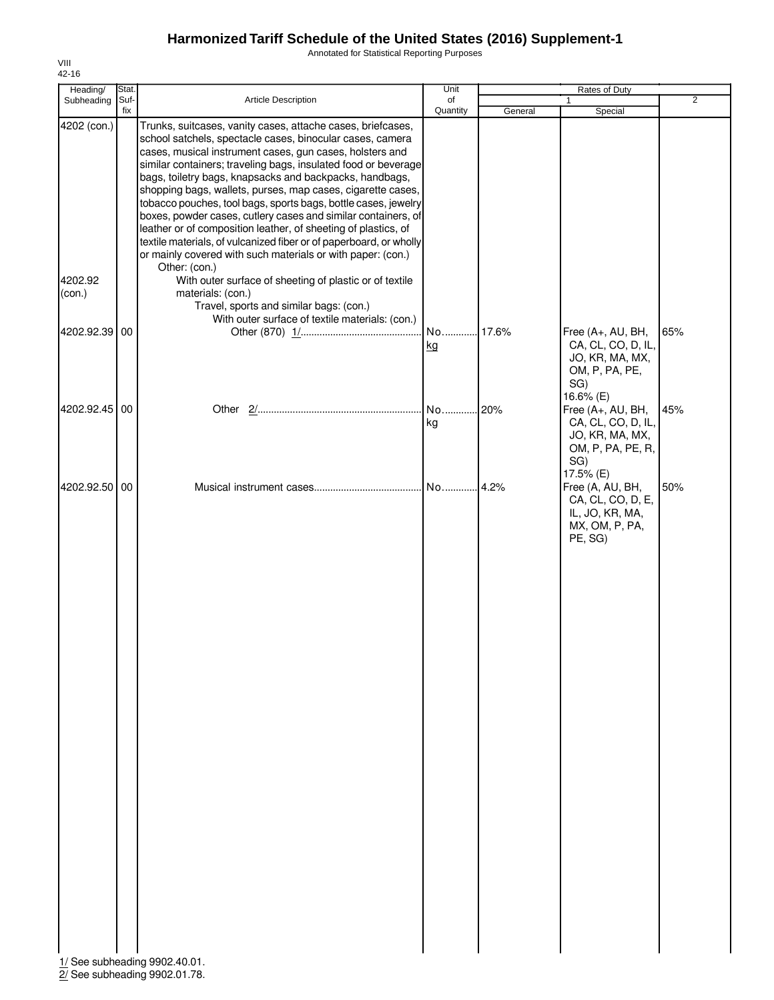Annotated for Statistical Reporting Purposes

| Heading/               | Stat.       |                                                                                                                                                                                                                                                                                                                                                                                                                                                                                                                                                                                                                                                                                                                                                                                                        | Unit           |         | Rates of Duty                                                                                      |                |
|------------------------|-------------|--------------------------------------------------------------------------------------------------------------------------------------------------------------------------------------------------------------------------------------------------------------------------------------------------------------------------------------------------------------------------------------------------------------------------------------------------------------------------------------------------------------------------------------------------------------------------------------------------------------------------------------------------------------------------------------------------------------------------------------------------------------------------------------------------------|----------------|---------|----------------------------------------------------------------------------------------------------|----------------|
| Subheading             | Suf-<br>fix | Article Description                                                                                                                                                                                                                                                                                                                                                                                                                                                                                                                                                                                                                                                                                                                                                                                    | of<br>Quantity | General | Special                                                                                            | $\overline{2}$ |
| 4202 (con.)<br>4202.92 |             | Trunks, suitcases, vanity cases, attache cases, briefcases,<br>school satchels, spectacle cases, binocular cases, camera<br>cases, musical instrument cases, gun cases, holsters and<br>similar containers; traveling bags, insulated food or beverage<br>bags, toiletry bags, knapsacks and backpacks, handbags,<br>shopping bags, wallets, purses, map cases, cigarette cases,<br>tobacco pouches, tool bags, sports bags, bottle cases, jewelry<br>boxes, powder cases, cutlery cases and similar containers, of<br>leather or of composition leather, of sheeting of plastics, of<br>textile materials, of vulcanized fiber or of paperboard, or wholly<br>or mainly covered with such materials or with paper: (con.)<br>Other: (con.)<br>With outer surface of sheeting of plastic or of textile |                |         |                                                                                                    |                |
| (con.)                 |             | materials: (con.)<br>Travel, sports and similar bags: (con.)<br>With outer surface of textile materials: (con.)                                                                                                                                                                                                                                                                                                                                                                                                                                                                                                                                                                                                                                                                                        |                |         |                                                                                                    |                |
| 4202.92.39 00          |             |                                                                                                                                                                                                                                                                                                                                                                                                                                                                                                                                                                                                                                                                                                                                                                                                        | No<br>kg       | .17.6%  | Free (A+, AU, BH,<br>CA, CL, CO, D, IL,<br>JO, KR, MA, MX,<br>OM, P, PA, PE,<br>SG)<br>16.6% (E)   | 65%            |
| 4202.92.45 00          |             |                                                                                                                                                                                                                                                                                                                                                                                                                                                                                                                                                                                                                                                                                                                                                                                                        | No<br>kg       | 20%     | Free (A+, AU, BH,<br>CA, CL, CO, D, IL,<br>JO, KR, MA, MX,<br>OM, P, PA, PE, R,<br>SG)             | 45%            |
| 4202.92.50 00          |             | 1/ See subheading 9902.40.01.                                                                                                                                                                                                                                                                                                                                                                                                                                                                                                                                                                                                                                                                                                                                                                          | No             | .4.2%   | 17.5% (E)<br>Free (A, AU, BH,<br>CA, CL, CO, D, E,<br>IL, JO, KR, MA,<br>MX, OM, P, PA,<br>PE, SG) | 50%            |

2/ See subheading 9902.01.78.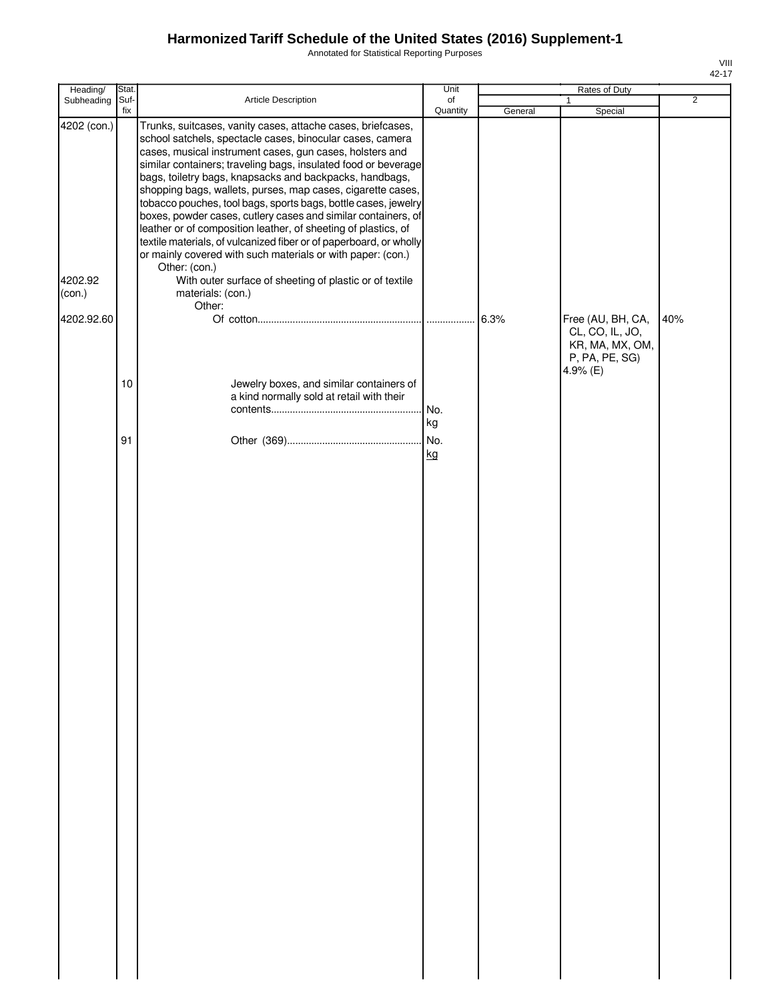Annotated for Statistical Reporting Purposes

| Heading/                                       | Stat.       |                                                                                                                                                                                                                                                                                                                                                                                                                                                                                                                                                                                                                                                                                                                                                                                                                                       | Unit           |         | Rates of Duty                                                    |                |
|------------------------------------------------|-------------|---------------------------------------------------------------------------------------------------------------------------------------------------------------------------------------------------------------------------------------------------------------------------------------------------------------------------------------------------------------------------------------------------------------------------------------------------------------------------------------------------------------------------------------------------------------------------------------------------------------------------------------------------------------------------------------------------------------------------------------------------------------------------------------------------------------------------------------|----------------|---------|------------------------------------------------------------------|----------------|
| Subheading                                     | Suf-<br>fix | Article Description                                                                                                                                                                                                                                                                                                                                                                                                                                                                                                                                                                                                                                                                                                                                                                                                                   | of<br>Quantity | General | $\mathbf{1}$<br>Special                                          | $\overline{2}$ |
| 4202 (con.)<br>4202.92<br>(con.)<br>4202.92.60 |             | Trunks, suitcases, vanity cases, attache cases, briefcases,<br>school satchels, spectacle cases, binocular cases, camera<br>cases, musical instrument cases, gun cases, holsters and<br>similar containers; traveling bags, insulated food or beverage<br>bags, toiletry bags, knapsacks and backpacks, handbags,<br>shopping bags, wallets, purses, map cases, cigarette cases,<br>tobacco pouches, tool bags, sports bags, bottle cases, jewelry<br>boxes, powder cases, cutlery cases and similar containers, of<br>leather or of composition leather, of sheeting of plastics, of<br>textile materials, of vulcanized fiber or of paperboard, or wholly<br>or mainly covered with such materials or with paper: (con.)<br>Other: (con.)<br>With outer surface of sheeting of plastic or of textile<br>materials: (con.)<br>Other: |                |         | Free (AU, BH, CA,                                                | 40%            |
|                                                | $10$        | Jewelry boxes, and similar containers of<br>a kind normally sold at retail with their                                                                                                                                                                                                                                                                                                                                                                                                                                                                                                                                                                                                                                                                                                                                                 | No.            |         | CL, CO, IL, JO,<br>KR, MA, MX, OM,<br>P, PA, PE, SG)<br>4.9% (E) |                |
|                                                | 91          |                                                                                                                                                                                                                                                                                                                                                                                                                                                                                                                                                                                                                                                                                                                                                                                                                                       | kg<br>kg       |         |                                                                  |                |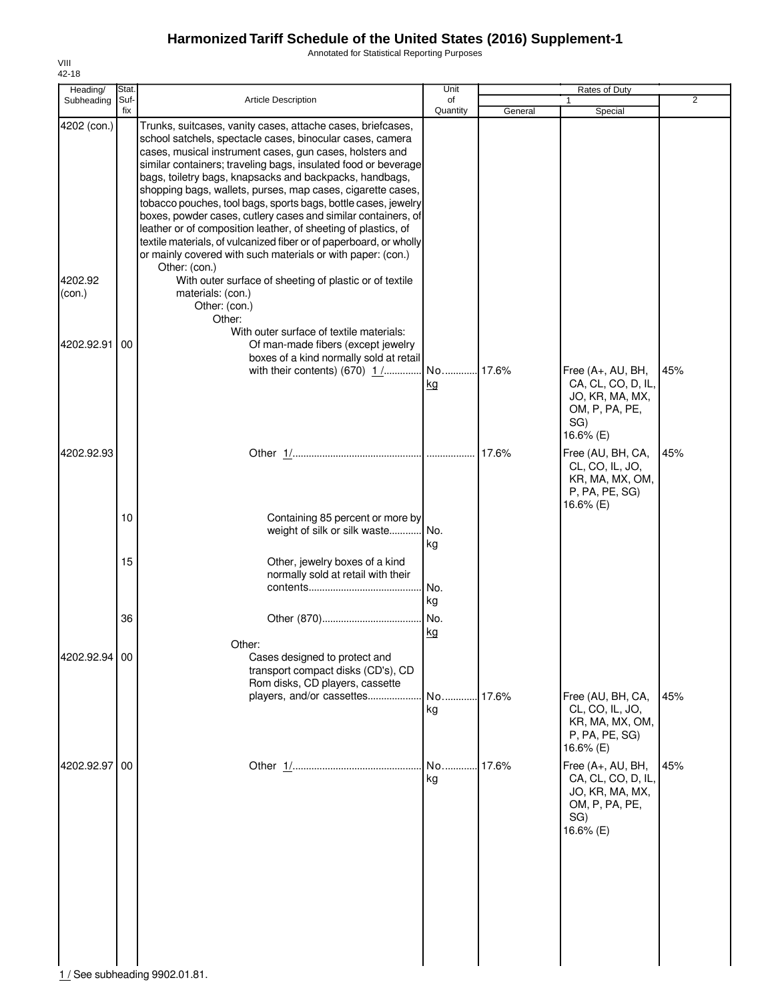Annotated for Statistical Reporting Purposes

| Heading/          | Stat.       |                                                                                                                                                                                                                                                                                                                                                                                                                                                                                                                                                                                                                                                                                                                                             | Unit           |         | Rates of Duty                                                                                    |                |
|-------------------|-------------|---------------------------------------------------------------------------------------------------------------------------------------------------------------------------------------------------------------------------------------------------------------------------------------------------------------------------------------------------------------------------------------------------------------------------------------------------------------------------------------------------------------------------------------------------------------------------------------------------------------------------------------------------------------------------------------------------------------------------------------------|----------------|---------|--------------------------------------------------------------------------------------------------|----------------|
| Subheading        | Suf-<br>fix | <b>Article Description</b>                                                                                                                                                                                                                                                                                                                                                                                                                                                                                                                                                                                                                                                                                                                  | of<br>Quantity | General | Special                                                                                          | $\overline{2}$ |
| 4202 (con.)       |             | Trunks, suitcases, vanity cases, attache cases, briefcases,<br>school satchels, spectacle cases, binocular cases, camera<br>cases, musical instrument cases, gun cases, holsters and<br>similar containers; traveling bags, insulated food or beverage<br>bags, toiletry bags, knapsacks and backpacks, handbags,<br>shopping bags, wallets, purses, map cases, cigarette cases,<br>tobacco pouches, tool bags, sports bags, bottle cases, jewelry<br>boxes, powder cases, cutlery cases and similar containers, of<br>leather or of composition leather, of sheeting of plastics, of<br>textile materials, of vulcanized fiber or of paperboard, or wholly<br>or mainly covered with such materials or with paper: (con.)<br>Other: (con.) |                |         |                                                                                                  |                |
| 4202.92<br>(con.) |             | With outer surface of sheeting of plastic or of textile<br>materials: (con.)<br>Other: (con.)<br>Other:<br>With outer surface of textile materials:                                                                                                                                                                                                                                                                                                                                                                                                                                                                                                                                                                                         |                |         |                                                                                                  |                |
| 4202.92.91        | 00          | Of man-made fibers (except jewelry<br>boxes of a kind normally sold at retail<br>with their contents) $(670)$ $1$ /                                                                                                                                                                                                                                                                                                                                                                                                                                                                                                                                                                                                                         | No             | .17.6%  | Free (A+, AU, BH,                                                                                | 45%            |
|                   |             |                                                                                                                                                                                                                                                                                                                                                                                                                                                                                                                                                                                                                                                                                                                                             | <u>kg</u>      |         | CA, CL, CO, D, IL,<br>JO, KR, MA, MX,<br>OM, P, PA, PE,<br>SG)<br>16.6% (E)                      |                |
| 4202.92.93        |             |                                                                                                                                                                                                                                                                                                                                                                                                                                                                                                                                                                                                                                                                                                                                             |                |         | Free (AU, BH, CA,<br>CL, CO, IL, JO,<br>KR, MA, MX, OM,<br>P, PA, PE, SG)<br>16.6% (E)           | 45%            |
|                   | 10          | Containing 85 percent or more by<br>weight of silk or silk waste                                                                                                                                                                                                                                                                                                                                                                                                                                                                                                                                                                                                                                                                            | No.<br>kg      |         |                                                                                                  |                |
|                   | 15          | Other, jewelry boxes of a kind<br>normally sold at retail with their                                                                                                                                                                                                                                                                                                                                                                                                                                                                                                                                                                                                                                                                        | No.<br>kg      |         |                                                                                                  |                |
|                   | 36          | Other:                                                                                                                                                                                                                                                                                                                                                                                                                                                                                                                                                                                                                                                                                                                                      | No.<br>kg      |         |                                                                                                  |                |
| 4202.92.94 00     |             | Cases designed to protect and<br>transport compact disks (CD's), CD<br>Rom disks, CD players, cassette                                                                                                                                                                                                                                                                                                                                                                                                                                                                                                                                                                                                                                      |                |         |                                                                                                  |                |
|                   |             | players, and/or cassettes                                                                                                                                                                                                                                                                                                                                                                                                                                                                                                                                                                                                                                                                                                                   | No<br>kg       | .17.6%  | Free (AU, BH, CA,<br>CL, CO, IL, JO,<br>KR, MA, MX, OM,<br>P, PA, PE, SG)<br>16.6% (E)           | 45%            |
| 4202.92.97        | 00          |                                                                                                                                                                                                                                                                                                                                                                                                                                                                                                                                                                                                                                                                                                                                             | No<br>kg       | 17.6%   | Free (A+, AU, BH,<br>CA, CL, CO, D, IL,<br>JO, KR, MA, MX,<br>OM, P, PA, PE,<br>SG)<br>16.6% (E) | 45%            |
|                   |             | 1 / See subheading 9902.01.81.                                                                                                                                                                                                                                                                                                                                                                                                                                                                                                                                                                                                                                                                                                              |                |         |                                                                                                  |                |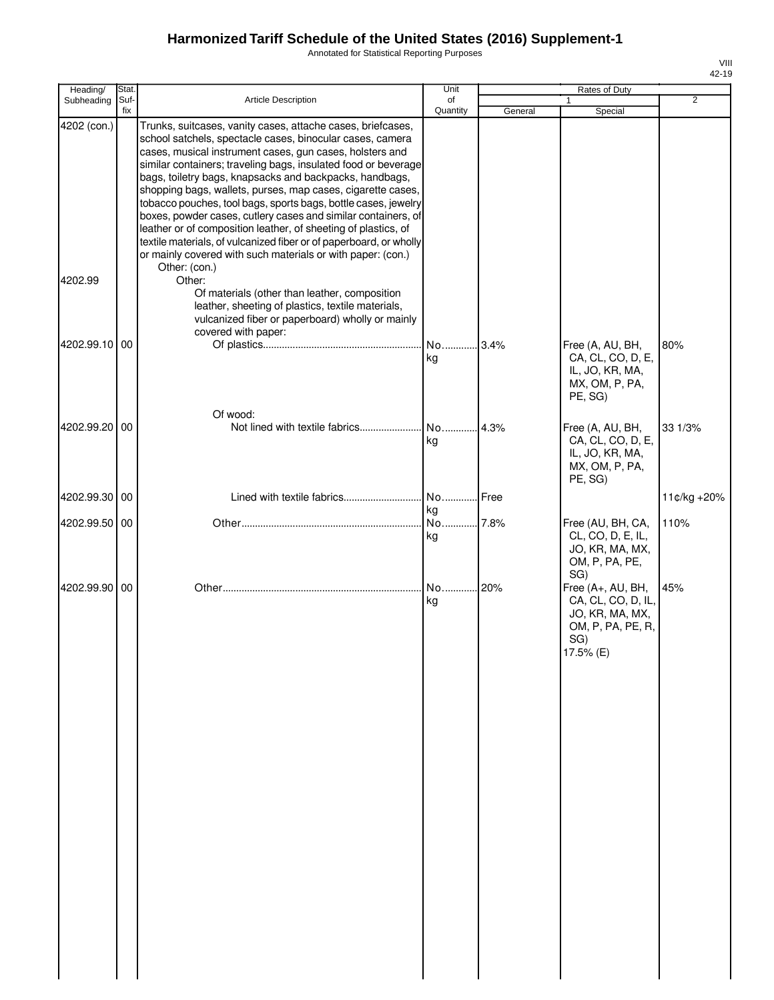Annotated for Statistical Reporting Purposes

| Heading/               | Stat.       |                                                                                                                                                                                                                                                                                                                                                                                                                                                                                                                                                                                                                                                                                                                                                                                                        | Unit           |         | Rates of Duty                                                                                                 |                |
|------------------------|-------------|--------------------------------------------------------------------------------------------------------------------------------------------------------------------------------------------------------------------------------------------------------------------------------------------------------------------------------------------------------------------------------------------------------------------------------------------------------------------------------------------------------------------------------------------------------------------------------------------------------------------------------------------------------------------------------------------------------------------------------------------------------------------------------------------------------|----------------|---------|---------------------------------------------------------------------------------------------------------------|----------------|
| Subheading             | Suf-<br>fix | Article Description                                                                                                                                                                                                                                                                                                                                                                                                                                                                                                                                                                                                                                                                                                                                                                                    | of<br>Quantity | General | 1<br>Special                                                                                                  | $\overline{2}$ |
| 4202 (con.)<br>4202.99 |             | Trunks, suitcases, vanity cases, attache cases, briefcases,<br>school satchels, spectacle cases, binocular cases, camera<br>cases, musical instrument cases, gun cases, holsters and<br>similar containers; traveling bags, insulated food or beverage<br>bags, toiletry bags, knapsacks and backpacks, handbags,<br>shopping bags, wallets, purses, map cases, cigarette cases,<br>tobacco pouches, tool bags, sports bags, bottle cases, jewelry<br>boxes, powder cases, cutlery cases and similar containers, of<br>leather or of composition leather, of sheeting of plastics, of<br>textile materials, of vulcanized fiber or of paperboard, or wholly<br>or mainly covered with such materials or with paper: (con.)<br>Other: (con.)<br>Other:<br>Of materials (other than leather, composition |                |         |                                                                                                               |                |
|                        |             | leather, sheeting of plastics, textile materials,<br>vulcanized fiber or paperboard) wholly or mainly<br>covered with paper:                                                                                                                                                                                                                                                                                                                                                                                                                                                                                                                                                                                                                                                                           |                |         |                                                                                                               |                |
| 4202.99.10             | 00          |                                                                                                                                                                                                                                                                                                                                                                                                                                                                                                                                                                                                                                                                                                                                                                                                        | No 3.4%<br>kg  |         | Free (A, AU, BH,<br>CA, CL, CO, D, E,<br>IL, JO, KR, MA,<br>MX, OM, P, PA,<br>PE, SG)                         | 80%            |
| 4202.99.20 00          |             | Of wood:                                                                                                                                                                                                                                                                                                                                                                                                                                                                                                                                                                                                                                                                                                                                                                                               | No 4.3%<br>kg  |         | Free (A, AU, BH,<br>CA, CL, CO, D, E,<br>IL, JO, KR, MA,<br>MX, OM, P, PA,<br>PE, SG)                         | 33 1/3%        |
| 4202.99.30             | 00          | Lined with textile fabrics                                                                                                                                                                                                                                                                                                                                                                                                                                                                                                                                                                                                                                                                                                                                                                             | No Free<br>kg  |         |                                                                                                               | 11¢/kg +20%    |
| 4202.99.50 00          |             |                                                                                                                                                                                                                                                                                                                                                                                                                                                                                                                                                                                                                                                                                                                                                                                                        | No 7.8%<br>kg  |         | Free (AU, BH, CA,<br>CL, CO, D, E, IL,<br>JO, KR, MA, MX,<br>OM, P, PA, PE,                                   | 110%           |
| 4202.99.90 00          |             |                                                                                                                                                                                                                                                                                                                                                                                                                                                                                                                                                                                                                                                                                                                                                                                                        | No 20%<br>kg   |         | SG)<br>Free (A+, AU, BH,<br>CA, CL, CO, D, IL,<br>JO, KR, MA, MX,<br>OM, P, PA, PE, R,<br>SG)<br>$17.5\%$ (E) | 45%            |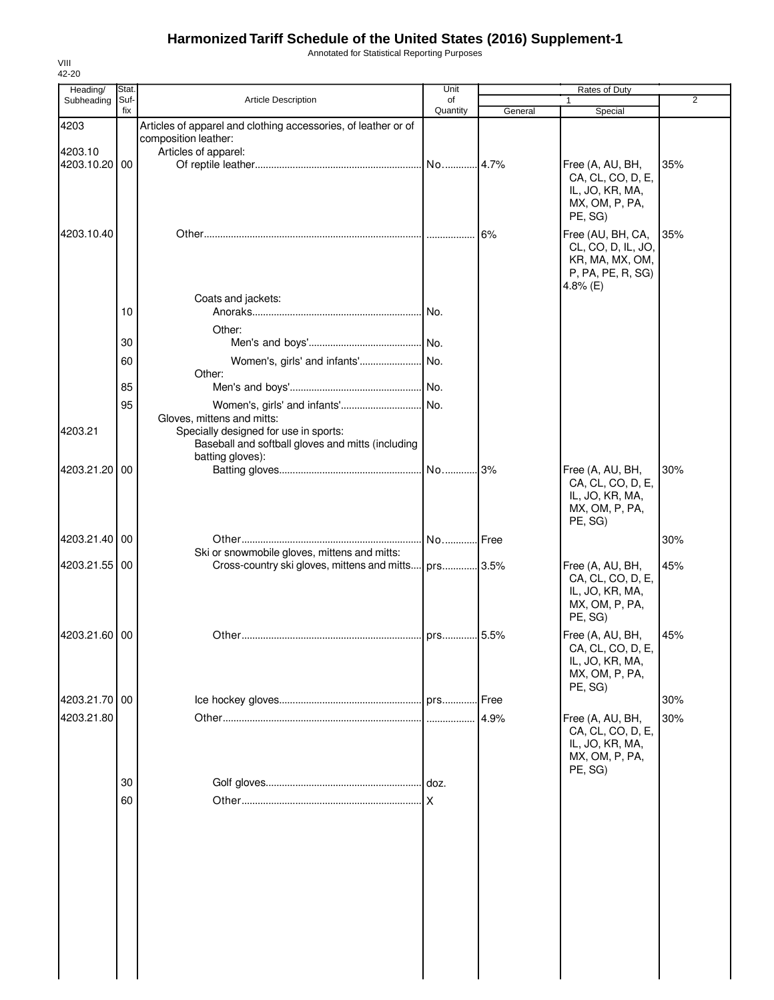Annotated for Statistical Reporting Purposes

| Heading/                 | Stat.       |                                                                                                                                                          | Unit           |         | Rates of Duty                                                                                 |     |
|--------------------------|-------------|----------------------------------------------------------------------------------------------------------------------------------------------------------|----------------|---------|-----------------------------------------------------------------------------------------------|-----|
| Subheading               | Suf-<br>fix | Article Description                                                                                                                                      | of<br>Quantity |         |                                                                                               | 2   |
| 4203                     |             | Articles of apparel and clothing accessories, of leather or of                                                                                           |                | General | Special                                                                                       |     |
|                          |             | composition leather:                                                                                                                                     |                |         |                                                                                               |     |
| 4203.10<br>4203.10.20 00 |             | Articles of apparel:                                                                                                                                     |                |         | Free (A, AU, BH,                                                                              | 35% |
|                          |             |                                                                                                                                                          |                |         | CA, CL, CO, D, E,<br>IL, JO, KR, MA,<br>MX, OM, P, PA,<br>PE, SG)                             |     |
| 4203.10.40               |             |                                                                                                                                                          |                | 6%      | Free (AU, BH, CA,<br>CL, CO, D, IL, JO,<br>KR, MA, MX, OM,<br>P, PA, PE, R, SG)<br>4.8% $(E)$ | 35% |
|                          | 10          | Coats and jackets:                                                                                                                                       |                |         |                                                                                               |     |
|                          |             |                                                                                                                                                          |                |         |                                                                                               |     |
|                          | 30          | Other:                                                                                                                                                   |                |         |                                                                                               |     |
|                          | 60          | Women's, girls' and infants' No.                                                                                                                         |                |         |                                                                                               |     |
|                          |             | Other:                                                                                                                                                   |                |         |                                                                                               |     |
|                          | 85          |                                                                                                                                                          |                |         |                                                                                               |     |
| 4203.21                  | 95          | Women's, girls' and infants'<br>Gloves, mittens and mitts:<br>Specially designed for use in sports:<br>Baseball and softball gloves and mitts (including | No.            |         |                                                                                               |     |
| 4203.21.20               | 00          | batting gloves):                                                                                                                                         |                | .3%     | Free (A, AU, BH,                                                                              | 30% |
|                          |             |                                                                                                                                                          |                |         | CA, CL, CO, D, E,<br>IL, JO, KR, MA,<br>MX, OM, P, PA,<br>PE, SG)                             |     |
| 4203.21.40 00            |             |                                                                                                                                                          | No Free        |         |                                                                                               | 30% |
|                          |             | Ski or snowmobile gloves, mittens and mitts:                                                                                                             |                |         |                                                                                               |     |
| 4203.21.55 00            |             | Cross-country ski gloves, mittens and mitts                                                                                                              | prs 3.5%       |         | Free (A, AU, BH,<br>CA, CL, CO, D, E,<br>IL, JO, KR, MA,<br>MX, OM, P, PA,<br>PE, SG)         | 45% |
| 4203.21.60 00            |             |                                                                                                                                                          |                |         | Free (A, AU, BH,                                                                              | 45% |
|                          |             |                                                                                                                                                          |                |         | CA, CL, CO, D, E,<br>IL, JO, KR, MA,<br>MX, OM, P, PA,<br>PE, SG)                             |     |
| 4203.21.70 00            |             |                                                                                                                                                          |                | Free.   |                                                                                               | 30% |
| 4203.21.80               |             |                                                                                                                                                          |                | 4.9%    | Free (A, AU, BH,<br>CA, CL, CO, D, E,<br>IL, JO, KR, MA,<br>MX, OM, P, PA,<br>PE, SG)         | 30% |
|                          | 30          |                                                                                                                                                          |                |         |                                                                                               |     |
|                          | 60          |                                                                                                                                                          |                |         |                                                                                               |     |
|                          |             |                                                                                                                                                          |                |         |                                                                                               |     |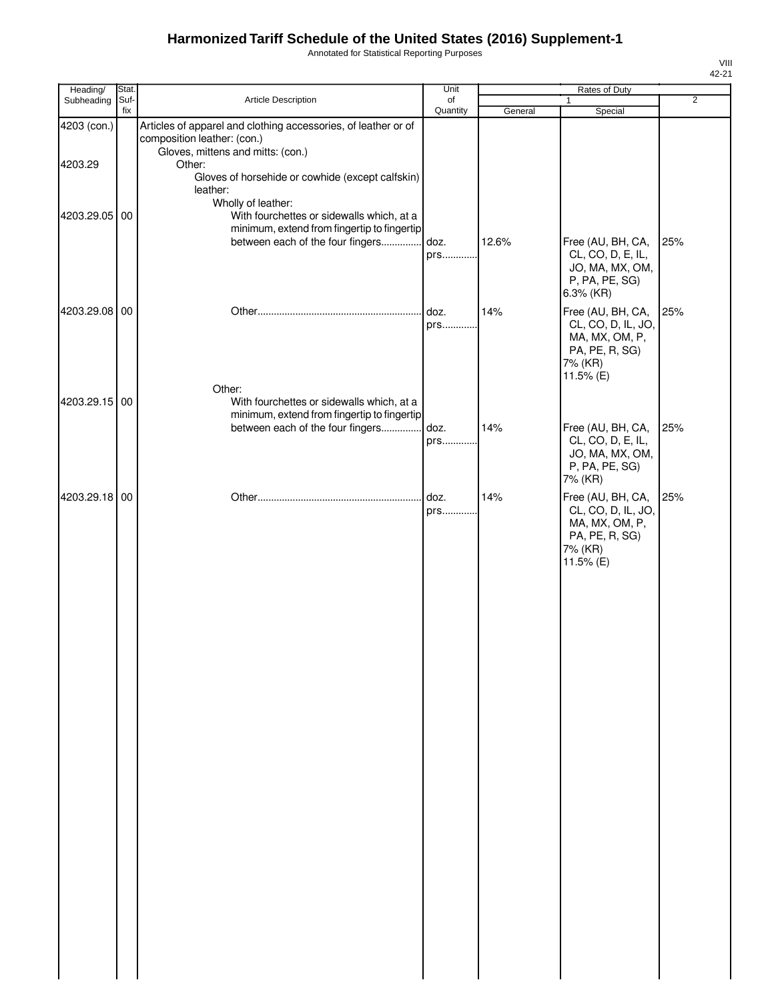Annotated for Statistical Reporting Purposes

| Heading/      | Stat.       |                                                                                                                                    | Unit           |         | Rates of Duty                                                                                       |                |
|---------------|-------------|------------------------------------------------------------------------------------------------------------------------------------|----------------|---------|-----------------------------------------------------------------------------------------------------|----------------|
| Subheading    | Suf-<br>fix | Article Description                                                                                                                | of<br>Quantity | General | $\mathbf{1}$<br>Special                                                                             | $\overline{2}$ |
| 4203 (con.)   |             | Articles of apparel and clothing accessories, of leather or of<br>composition leather: (con.)<br>Gloves, mittens and mitts: (con.) |                |         |                                                                                                     |                |
| 4203.29       |             | Other:<br>Gloves of horsehide or cowhide (except calfskin)<br>leather:                                                             |                |         |                                                                                                     |                |
| 4203.29.05 00 |             | Wholly of leather:<br>With fourchettes or sidewalls which, at a<br>minimum, extend from fingertip to fingertip                     |                |         |                                                                                                     |                |
|               |             | between each of the four fingers                                                                                                   | doz.<br>prs    | 12.6%   | Free (AU, BH, CA,<br>CL, CO, D, E, IL,<br>JO, MA, MX, OM,<br>P, PA, PE, SG)<br>6.3% (KR)            | 25%            |
| 4203.29.08 00 |             | Other:                                                                                                                             | doz.<br>prs    | 14%     | Free (AU, BH, CA,<br>CL, CO, D, IL, JO,<br>MA, MX, OM, P,<br>PA, PE, R, SG)<br>7% (KR)<br>11.5% (E) | 25%            |
| 4203.29.15 00 |             | With fourchettes or sidewalls which, at a<br>minimum, extend from fingertip to fingertip                                           |                |         |                                                                                                     |                |
|               |             | between each of the four fingers                                                                                                   | doz.<br>prs    | 14%     | Free (AU, BH, CA,<br>CL, CO, D, E, IL,<br>JO, MA, MX, OM,<br>P, PA, PE, SG)<br>7% (KR)              | 25%            |
| 4203.29.18 00 |             |                                                                                                                                    | doz.<br>prs    | 14%     | Free (AU, BH, CA,<br>CL, CO, D, IL, JO,<br>MA, MX, OM, P,<br>PA, PE, R, SG)<br>7% (KR)<br>11.5% (E) | 25%            |
|               |             |                                                                                                                                    |                |         |                                                                                                     |                |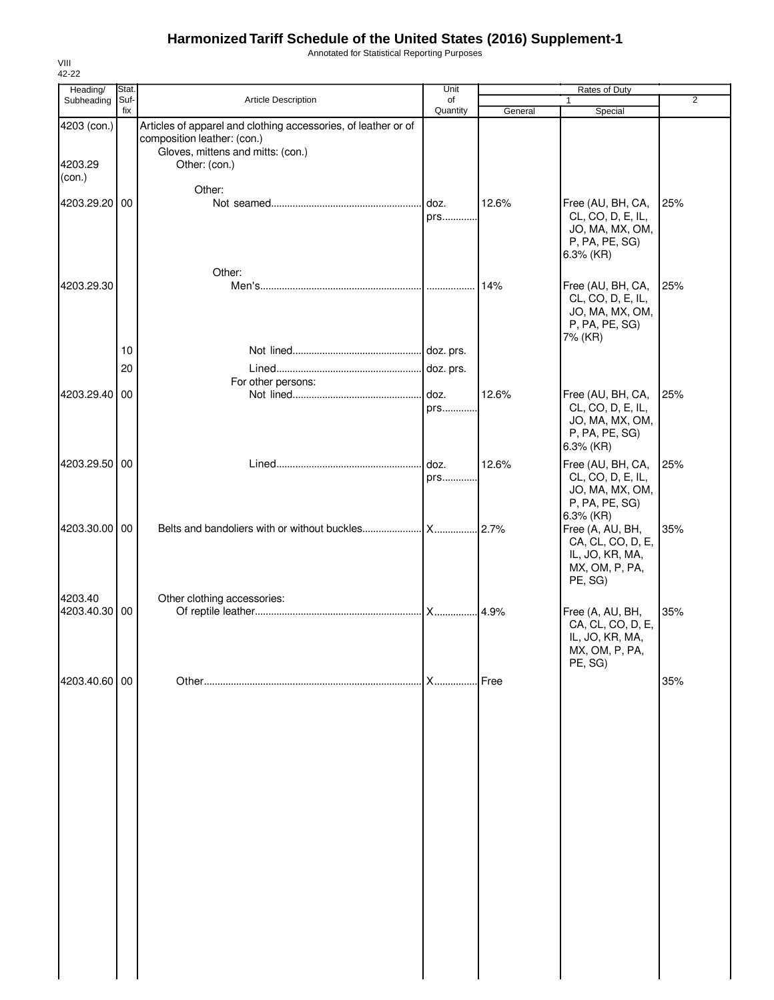Annotated for Statistical Reporting Purposes

| Heading/                 | Stat.       |                                                                                                                                    | Unit        |         | Rates of Duty                                                                               |                |
|--------------------------|-------------|------------------------------------------------------------------------------------------------------------------------------------|-------------|---------|---------------------------------------------------------------------------------------------|----------------|
| Subheading               | Suf-<br>fix | Article Description                                                                                                                | of          |         | 1                                                                                           | $\overline{2}$ |
| 4203 (con.)              |             | Articles of apparel and clothing accessories, of leather or of<br>composition leather: (con.)<br>Gloves, mittens and mitts: (con.) | Quantity    | General | Special                                                                                     |                |
| 4203.29<br>(con.)        |             | Other: (con.)<br>Other:                                                                                                            |             |         |                                                                                             |                |
| 4203.29.20 00            |             |                                                                                                                                    | doz.<br>prs | 12.6%   | Free (AU, BH, CA,<br>CL, CO, D, E, IL,<br>JO, MA, MX, OM,<br>P, PA, PE, SG)<br>$6.3\%$ (KR) | 25%            |
| 4203.29.30               |             | Other:                                                                                                                             |             | 14%     | Free (AU, BH, CA,<br>CL, CO, D, E, IL,<br>JO, MA, MX, OM,<br>P, PA, PE, SG)<br>7% (KR)      | 25%            |
|                          | 10<br>20    |                                                                                                                                    |             |         |                                                                                             |                |
| 4203.29.40               | 00          | For other persons:                                                                                                                 | doz.        | 12.6%   |                                                                                             |                |
|                          |             |                                                                                                                                    | prs         |         | Free (AU, BH, CA,<br>CL, CO, D, E, IL,<br>JO, MA, MX, OM,<br>P, PA, PE, SG)<br>6.3% (KR)    | 25%            |
| 4203.29.50 00            |             |                                                                                                                                    | doz.<br>prs | 12.6%   | Free (AU, BH, CA,<br>CL, CO, D, E, IL,<br>JO, MA, MX, OM,<br>P, PA, PE, SG)<br>6.3% (KR)    | 25%            |
| 4203.30.00 00            |             |                                                                                                                                    |             |         | Free (A, AU, BH,<br>CA, CL, CO, D, E,<br>IL, JO, KR, MA,<br>MX, OM, P, PA,<br>PE, SG)       | 35%            |
| 4203.40<br>4203.40.30 00 |             | Other clothing accessories:                                                                                                        |             |         | Free (A, AU, BH,<br>CA, CL, CO, D, E,<br>IL, JO, KR, MA,<br>MX, OM, P, PA,<br>PE, SG)       | 35%            |
| 4203.40.60 00            |             |                                                                                                                                    | X           | Free    |                                                                                             | 35%            |
|                          |             |                                                                                                                                    |             |         |                                                                                             |                |

VIII